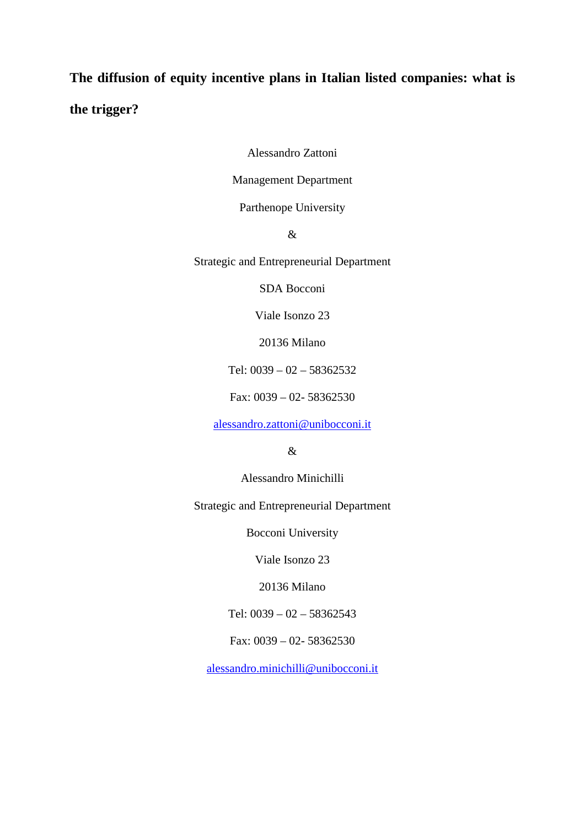# **The diffusion of equity incentive plans in Italian listed companies: what is the trigger?**

Alessandro Zattoni

Management Department

Parthenope University

&

Strategic and Entrepreneurial Department

SDA Bocconi

Viale Isonzo 23

20136 Milano

Tel: 0039 – 02 – 58362532

Fax: 0039 – 02- 58362530

[alessandro.zattoni@unibocconi.it](mailto:alessandro.zattoni@unibocconi.it)

&

Alessandro Minichilli

Strategic and Entrepreneurial Department

Bocconi University

Viale Isonzo 23

20136 Milano

Tel: 0039 – 02 – 58362543

Fax: 0039 – 02- 58362530

[alessandro.minichilli@unibocconi.it](mailto:alessandro.minichilli@unibocconi.it)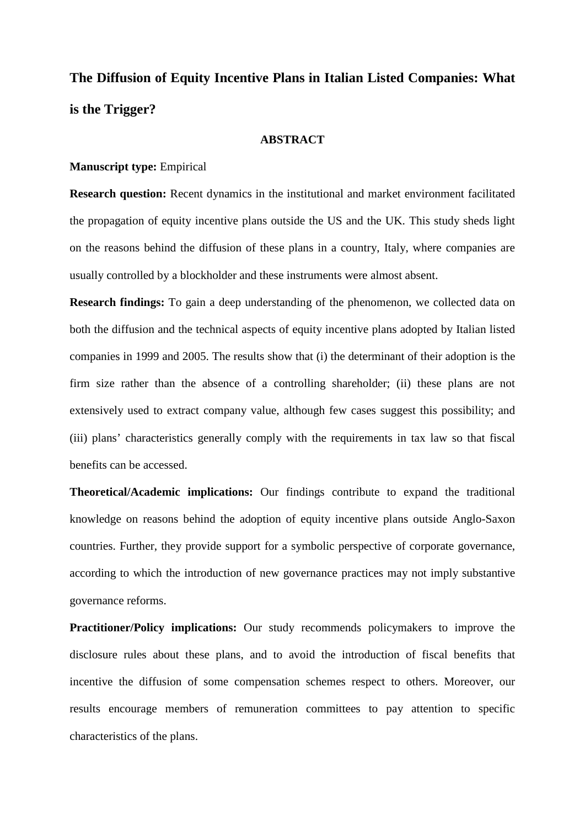## **The Diffusion of Equity Incentive Plans in Italian Listed Companies: What is the Trigger?**

## **ABSTRACT**

## **Manuscript type:** Empirical

**Research question:** Recent dynamics in the institutional and market environment facilitated the propagation of equity incentive plans outside the US and the UK. This study sheds light on the reasons behind the diffusion of these plans in a country, Italy, where companies are usually controlled by a blockholder and these instruments were almost absent.

**Research findings:** To gain a deep understanding of the phenomenon, we collected data on both the diffusion and the technical aspects of equity incentive plans adopted by Italian listed companies in 1999 and 2005. The results show that (i) the determinant of their adoption is the firm size rather than the absence of a controlling shareholder; (ii) these plans are not extensively used to extract company value, although few cases suggest this possibility; and (iii) plans' characteristics generally comply with the requirements in tax law so that fiscal benefits can be accessed.

**Theoretical/Academic implications:** Our findings contribute to expand the traditional knowledge on reasons behind the adoption of equity incentive plans outside Anglo-Saxon countries. Further, they provide support for a symbolic perspective of corporate governance, according to which the introduction of new governance practices may not imply substantive governance reforms.

**Practitioner/Policy implications:** Our study recommends policymakers to improve the disclosure rules about these plans, and to avoid the introduction of fiscal benefits that incentive the diffusion of some compensation schemes respect to others. Moreover, our results encourage members of remuneration committees to pay attention to specific characteristics of the plans.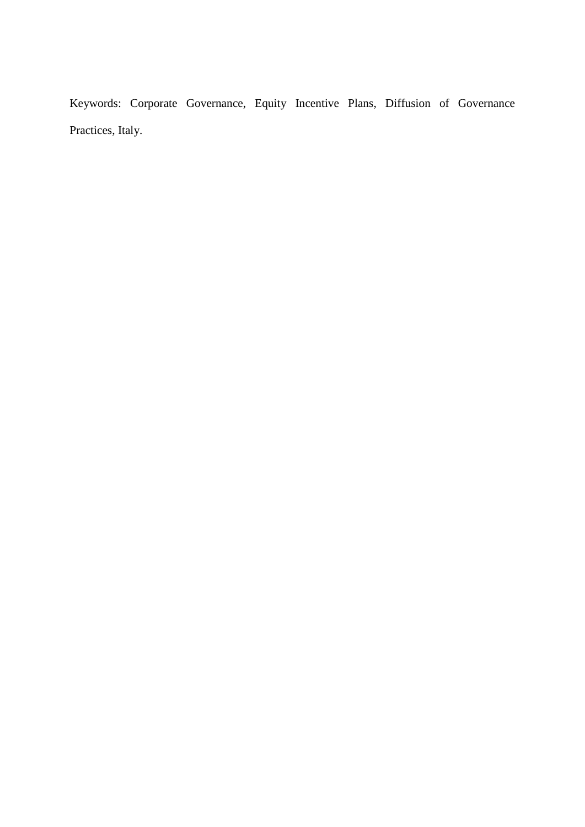Keywords: Corporate Governance, Equity Incentive Plans, Diffusion of Governance Practices, Italy.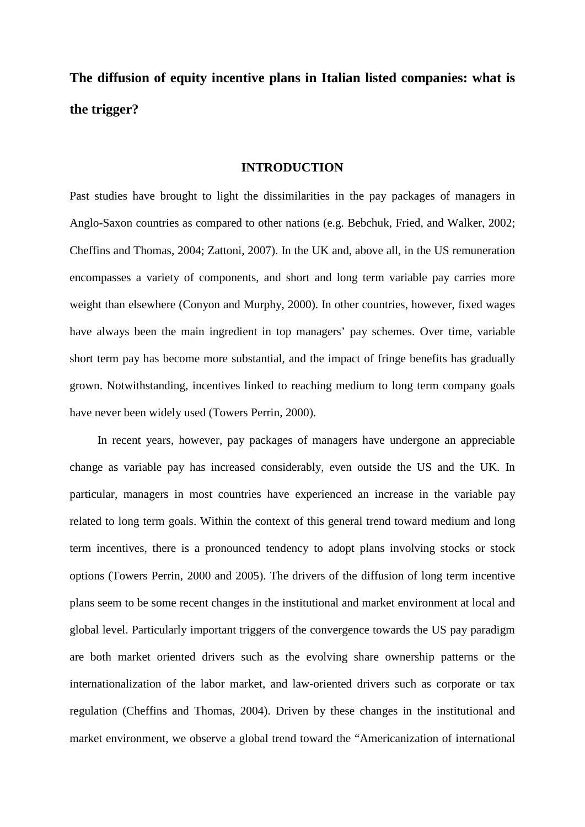**The diffusion of equity incentive plans in Italian listed companies: what is the trigger?**

#### **INTRODUCTION**

Past studies have brought to light the dissimilarities in the pay packages of managers in Anglo-Saxon countries as compared to other nations (e.g. Bebchuk, Fried, and Walker, 2002; Cheffins and Thomas, 2004; Zattoni, 2007). In the UK and, above all, in the US remuneration encompasses a variety of components, and short and long term variable pay carries more weight than elsewhere (Conyon and Murphy, 2000). In other countries, however, fixed wages have always been the main ingredient in top managers' pay schemes. Over time, variable short term pay has become more substantial, and the impact of fringe benefits has gradually grown. Notwithstanding, incentives linked to reaching medium to long term company goals have never been widely used (Towers Perrin, 2000).

In recent years, however, pay packages of managers have undergone an appreciable change as variable pay has increased considerably, even outside the US and the UK. In particular, managers in most countries have experienced an increase in the variable pay related to long term goals. Within the context of this general trend toward medium and long term incentives, there is a pronounced tendency to adopt plans involving stocks or stock options (Towers Perrin, 2000 and 2005). The drivers of the diffusion of long term incentive plans seem to be some recent changes in the institutional and market environment at local and global level. Particularly important triggers of the convergence towards the US pay paradigm are both market oriented drivers such as the evolving share ownership patterns or the internationalization of the labor market, and law-oriented drivers such as corporate or tax regulation (Cheffins and Thomas, 2004). Driven by these changes in the institutional and market environment, we observe a global trend toward the "Americanization of international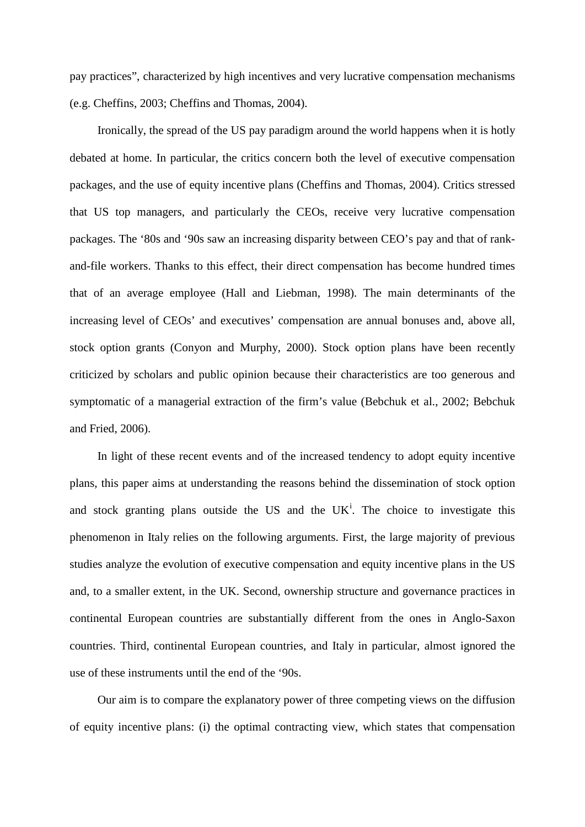pay practices", characterized by high incentives and very lucrative compensation mechanisms (e.g. Cheffins, 2003; Cheffins and Thomas, 2004).

Ironically, the spread of the US pay paradigm around the world happens when it is hotly debated at home. In particular, the critics concern both the level of executive compensation packages, and the use of equity incentive plans (Cheffins and Thomas, 2004). Critics stressed that US top managers, and particularly the CEOs, receive very lucrative compensation packages. The '80s and '90s saw an increasing disparity between CEO's pay and that of rankand-file workers. Thanks to this effect, their direct compensation has become hundred times that of an average employee (Hall and Liebman, 1998). The main determinants of the increasing level of CEOs' and executives' compensation are annual bonuses and, above all, stock option grants (Conyon and Murphy, 2000). Stock option plans have been recently criticized by scholars and public opinion because their characteristics are too generous and symptomatic of a managerial extraction of the firm's value (Bebchuk et al., 2002; Bebchuk and Fried, 2006).

In light of these recent events and of the increased tendency to adopt equity incentive plans, this paper aims at understanding the reasons behind the dissemination of stock option and stock grant[i](#page-45-0)ng plans outside the US and the  $UK<sup>i</sup>$ . The choice to investigate this phenomenon in Italy relies on the following arguments. First, the large majority of previous studies analyze the evolution of executive compensation and equity incentive plans in the US and, to a smaller extent, in the UK. Second, ownership structure and governance practices in continental European countries are substantially different from the ones in Anglo-Saxon countries. Third, continental European countries, and Italy in particular, almost ignored the use of these instruments until the end of the '90s.

Our aim is to compare the explanatory power of three competing views on the diffusion of equity incentive plans: (i) the optimal contracting view, which states that compensation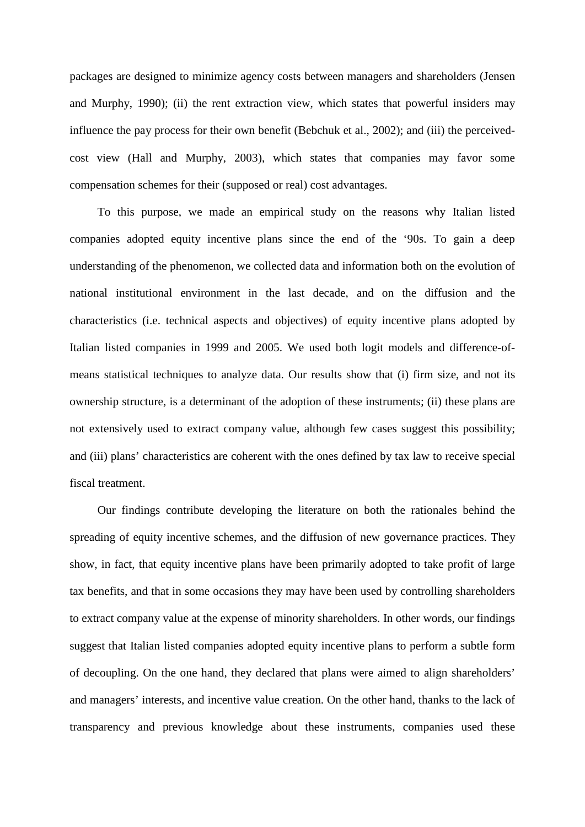packages are designed to minimize agency costs between managers and shareholders (Jensen and Murphy, 1990); (ii) the rent extraction view, which states that powerful insiders may influence the pay process for their own benefit (Bebchuk et al., 2002); and (iii) the perceivedcost view (Hall and Murphy, 2003), which states that companies may favor some compensation schemes for their (supposed or real) cost advantages.

To this purpose, we made an empirical study on the reasons why Italian listed companies adopted equity incentive plans since the end of the '90s. To gain a deep understanding of the phenomenon, we collected data and information both on the evolution of national institutional environment in the last decade, and on the diffusion and the characteristics (i.e. technical aspects and objectives) of equity incentive plans adopted by Italian listed companies in 1999 and 2005. We used both logit models and difference-ofmeans statistical techniques to analyze data. Our results show that (i) firm size, and not its ownership structure, is a determinant of the adoption of these instruments; (ii) these plans are not extensively used to extract company value, although few cases suggest this possibility; and (iii) plans' characteristics are coherent with the ones defined by tax law to receive special fiscal treatment.

Our findings contribute developing the literature on both the rationales behind the spreading of equity incentive schemes, and the diffusion of new governance practices. They show, in fact, that equity incentive plans have been primarily adopted to take profit of large tax benefits, and that in some occasions they may have been used by controlling shareholders to extract company value at the expense of minority shareholders. In other words, our findings suggest that Italian listed companies adopted equity incentive plans to perform a subtle form of decoupling. On the one hand, they declared that plans were aimed to align shareholders' and managers' interests, and incentive value creation. On the other hand, thanks to the lack of transparency and previous knowledge about these instruments, companies used these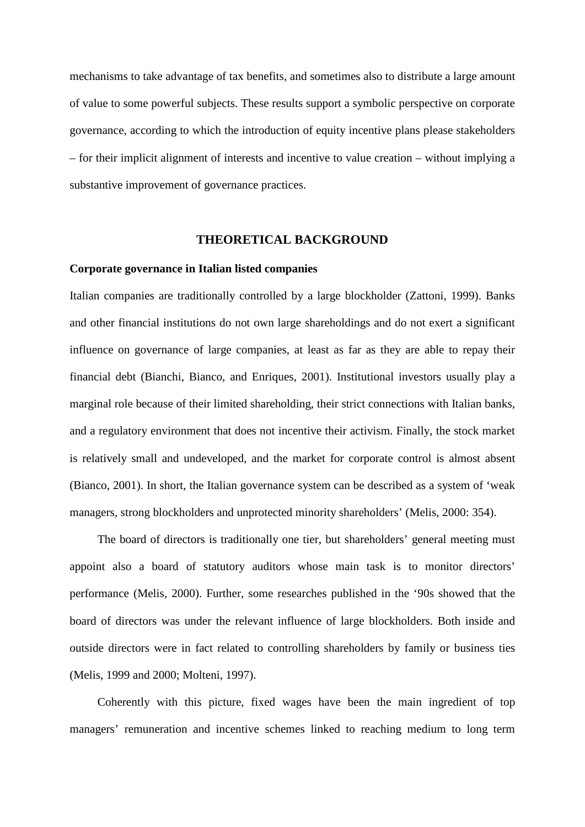mechanisms to take advantage of tax benefits, and sometimes also to distribute a large amount of value to some powerful subjects. These results support a symbolic perspective on corporate governance, according to which the introduction of equity incentive plans please stakeholders – for their implicit alignment of interests and incentive to value creation – without implying a substantive improvement of governance practices.

#### **THEORETICAL BACKGROUND**

#### **Corporate governance in Italian listed companies**

Italian companies are traditionally controlled by a large blockholder (Zattoni, 1999). Banks and other financial institutions do not own large shareholdings and do not exert a significant influence on governance of large companies, at least as far as they are able to repay their financial debt (Bianchi, Bianco, and Enriques, 2001). Institutional investors usually play a marginal role because of their limited shareholding, their strict connections with Italian banks, and a regulatory environment that does not incentive their activism. Finally, the stock market is relatively small and undeveloped, and the market for corporate control is almost absent (Bianco, 2001). In short, the Italian governance system can be described as a system of 'weak managers, strong blockholders and unprotected minority shareholders' (Melis, 2000: 354).

The board of directors is traditionally one tier, but shareholders' general meeting must appoint also a board of statutory auditors whose main task is to monitor directors' performance (Melis, 2000). Further, some researches published in the '90s showed that the board of directors was under the relevant influence of large blockholders. Both inside and outside directors were in fact related to controlling shareholders by family or business ties (Melis, 1999 and 2000; Molteni, 1997).

Coherently with this picture, fixed wages have been the main ingredient of top managers' remuneration and incentive schemes linked to reaching medium to long term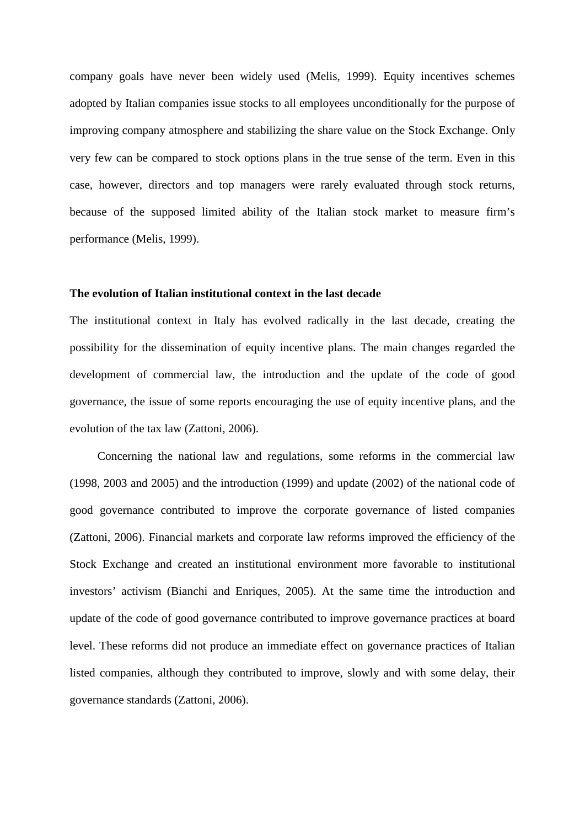company goals have never been widely used (Melis, 1999). Equity incentives schemes adopted by Italian companies issue stocks to all employees unconditionally for the purpose of improving company atmosphere and stabilizing the share value on the Stock Exchange. Only very few can be compared to stock options plans in the true sense of the term. Even in this case, however, directors and top managers were rarely evaluated through stock returns, because of the supposed limited ability of the Italian stock market to measure firm's performance (Melis, 1999).

## **The evolution of Italian institutional context in the last decade**

The institutional context in Italy has evolved radically in the last decade, creating the possibility for the dissemination of equity incentive plans. The main changes regarded the development of commercial law, the introduction and the update of the code of good governance, the issue of some reports encouraging the use of equity incentive plans, and the evolution of the tax law (Zattoni, 2006).

Concerning the national law and regulations, some reforms in the commercial law (1998, 2003 and 2005) and the introduction (1999) and update (2002) of the national code of good governance contributed to improve the corporate governance of listed companies (Zattoni, 2006). Financial markets and corporate law reforms improved the efficiency of the Stock Exchange and created an institutional environment more favorable to institutional investors' activism (Bianchi and Enriques, 2005). At the same time the introduction and update of the code of good governance contributed to improve governance practices at board level. These reforms did not produce an immediate effect on governance practices of Italian listed companies, although they contributed to improve, slowly and with some delay, their governance standards (Zattoni, 2006).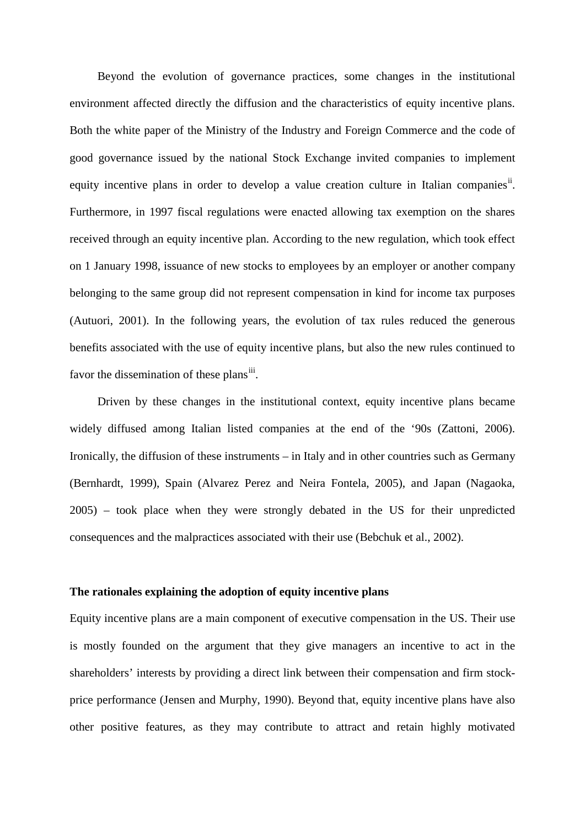Beyond the evolution of governance practices, some changes in the institutional environment affected directly the diffusion and the characteristics of equity incentive plans. Both the white paper of the Ministry of the Industry and Foreign Commerce and the code of good governance issued by the national Stock Exchange invited companies to implement equity incentive plans in order to develop a value creation culture in Italian companies<sup>[ii](#page-45-1)</sup>. Furthermore, in 1997 fiscal regulations were enacted allowing tax exemption on the shares received through an equity incentive plan. According to the new regulation, which took effect on 1 January 1998, issuance of new stocks to employees by an employer or another company belonging to the same group did not represent compensation in kind for income tax purposes (Autuori, 2001). In the following years, the evolution of tax rules reduced the generous benefits associated with the use of equity incentive plans, but also the new rules continued to favor the dissemination of these plans<sup>iii</sup>.

Driven by these changes in the institutional context, equity incentive plans became widely diffused among Italian listed companies at the end of the '90s (Zattoni, 2006). Ironically, the diffusion of these instruments – in Italy and in other countries such as Germany (Bernhardt, 1999), Spain (Alvarez Perez and Neira Fontela, 2005), and Japan (Nagaoka, 2005) – took place when they were strongly debated in the US for their unpredicted consequences and the malpractices associated with their use (Bebchuk et al., 2002).

## **The rationales explaining the adoption of equity incentive plans**

Equity incentive plans are a main component of executive compensation in the US. Their use is mostly founded on the argument that they give managers an incentive to act in the shareholders' interests by providing a direct link between their compensation and firm stockprice performance (Jensen and Murphy, 1990). Beyond that, equity incentive plans have also other positive features, as they may contribute to attract and retain highly motivated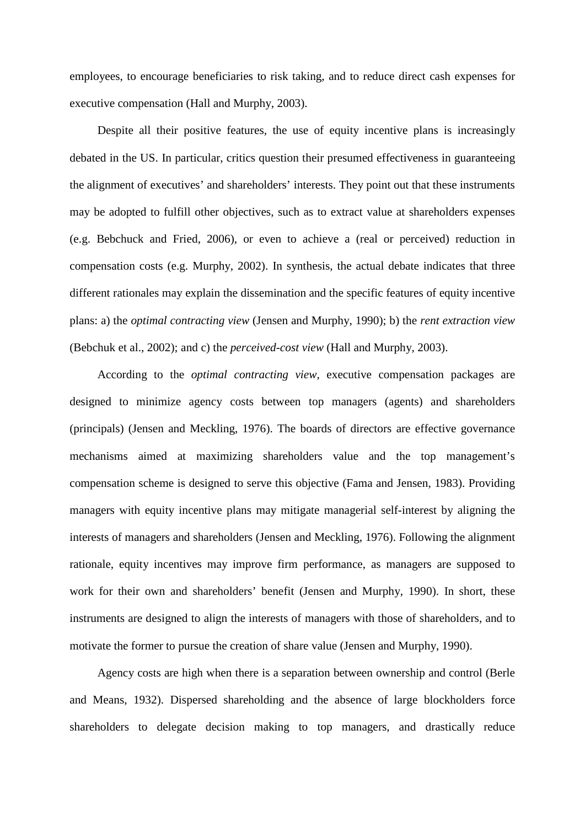employees, to encourage beneficiaries to risk taking, and to reduce direct cash expenses for executive compensation (Hall and Murphy, 2003).

Despite all their positive features, the use of equity incentive plans is increasingly debated in the US. In particular, critics question their presumed effectiveness in guaranteeing the alignment of executives' and shareholders' interests. They point out that these instruments may be adopted to fulfill other objectives, such as to extract value at shareholders expenses (e.g. Bebchuck and Fried, 2006), or even to achieve a (real or perceived) reduction in compensation costs (e.g. Murphy, 2002). In synthesis, the actual debate indicates that three different rationales may explain the dissemination and the specific features of equity incentive plans: a) the *optimal contracting view* (Jensen and Murphy, 1990); b) the *rent extraction view* (Bebchuk et al., 2002); and c) the *perceived-cost view* (Hall and Murphy, 2003).

According to the *optimal contracting view,* executive compensation packages are designed to minimize agency costs between top managers (agents) and shareholders (principals) (Jensen and Meckling, 1976). The boards of directors are effective governance mechanisms aimed at maximizing shareholders value and the top management's compensation scheme is designed to serve this objective (Fama and Jensen, 1983). Providing managers with equity incentive plans may mitigate managerial self-interest by aligning the interests of managers and shareholders (Jensen and Meckling, 1976). Following the alignment rationale, equity incentives may improve firm performance, as managers are supposed to work for their own and shareholders' benefit (Jensen and Murphy, 1990). In short, these instruments are designed to align the interests of managers with those of shareholders, and to motivate the former to pursue the creation of share value (Jensen and Murphy, 1990).

Agency costs are high when there is a separation between ownership and control (Berle and Means, 1932). Dispersed shareholding and the absence of large blockholders force shareholders to delegate decision making to top managers, and drastically reduce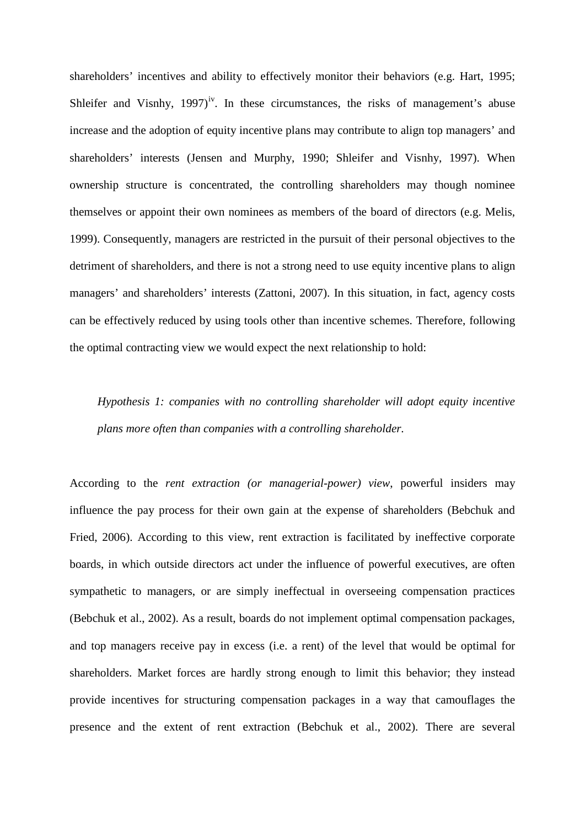shareholders' incentives and ability to effectively monitor their behaviors (e.g. Hart, 1995; Shleifer and Visnhy,  $1997$ <sup>iv</sup>. In these circumstances, the risks of management's abuse increase and the adoption of equity incentive plans may contribute to align top managers' and shareholders' interests (Jensen and Murphy, 1990; Shleifer and Visnhy, 1997). When ownership structure is concentrated, the controlling shareholders may though nominee themselves or appoint their own nominees as members of the board of directors (e.g. Melis, 1999). Consequently, managers are restricted in the pursuit of their personal objectives to the detriment of shareholders, and there is not a strong need to use equity incentive plans to align managers' and shareholders' interests (Zattoni, 2007). In this situation, in fact, agency costs can be effectively reduced by using tools other than incentive schemes. Therefore, following the optimal contracting view we would expect the next relationship to hold:

*Hypothesis 1: companies with no controlling shareholder will adopt equity incentive plans more often than companies with a controlling shareholder.*

According to the *rent extraction (or managerial-power) view*, powerful insiders may influence the pay process for their own gain at the expense of shareholders (Bebchuk and Fried, 2006). According to this view, rent extraction is facilitated by ineffective corporate boards, in which outside directors act under the influence of powerful executives, are often sympathetic to managers, or are simply ineffectual in overseeing compensation practices (Bebchuk et al., 2002). As a result, boards do not implement optimal compensation packages, and top managers receive pay in excess (i.e. a rent) of the level that would be optimal for shareholders. Market forces are hardly strong enough to limit this behavior; they instead provide incentives for structuring compensation packages in a way that camouflages the presence and the extent of rent extraction (Bebchuk et al., 2002). There are several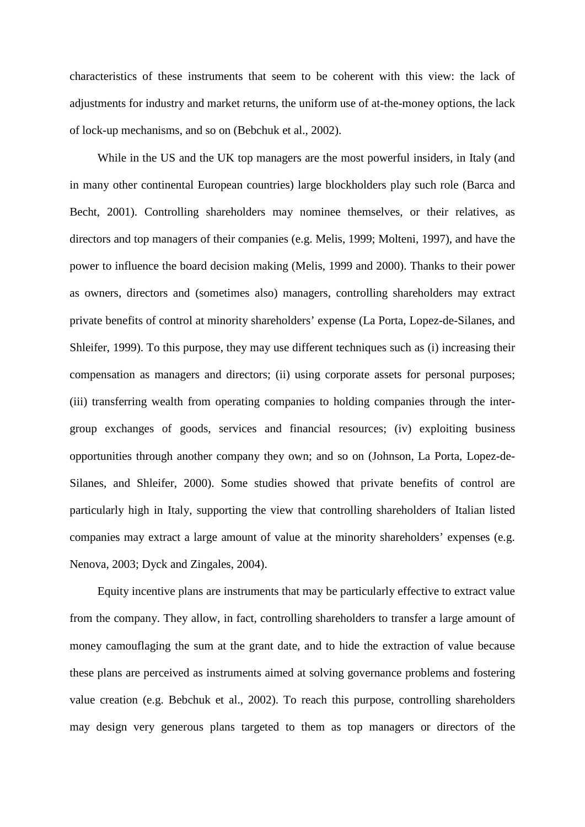characteristics of these instruments that seem to be coherent with this view: the lack of adjustments for industry and market returns, the uniform use of at-the-money options, the lack of lock-up mechanisms, and so on (Bebchuk et al., 2002).

While in the US and the UK top managers are the most powerful insiders, in Italy (and in many other continental European countries) large blockholders play such role (Barca and Becht, 2001). Controlling shareholders may nominee themselves, or their relatives, as directors and top managers of their companies (e.g. Melis, 1999; Molteni, 1997), and have the power to influence the board decision making (Melis, 1999 and 2000). Thanks to their power as owners, directors and (sometimes also) managers, controlling shareholders may extract private benefits of control at minority shareholders' expense (La Porta, Lopez-de-Silanes, and Shleifer, 1999). To this purpose, they may use different techniques such as (i) increasing their compensation as managers and directors; (ii) using corporate assets for personal purposes; (iii) transferring wealth from operating companies to holding companies through the intergroup exchanges of goods, services and financial resources; (iv) exploiting business opportunities through another company they own; and so on (Johnson, La Porta, Lopez-de-Silanes, and Shleifer, 2000). Some studies showed that private benefits of control are particularly high in Italy, supporting the view that controlling shareholders of Italian listed companies may extract a large amount of value at the minority shareholders' expenses (e.g. Nenova, 2003; Dyck and Zingales, 2004).

Equity incentive plans are instruments that may be particularly effective to extract value from the company. They allow, in fact, controlling shareholders to transfer a large amount of money camouflaging the sum at the grant date, and to hide the extraction of value because these plans are perceived as instruments aimed at solving governance problems and fostering value creation (e.g. Bebchuk et al., 2002). To reach this purpose, controlling shareholders may design very generous plans targeted to them as top managers or directors of the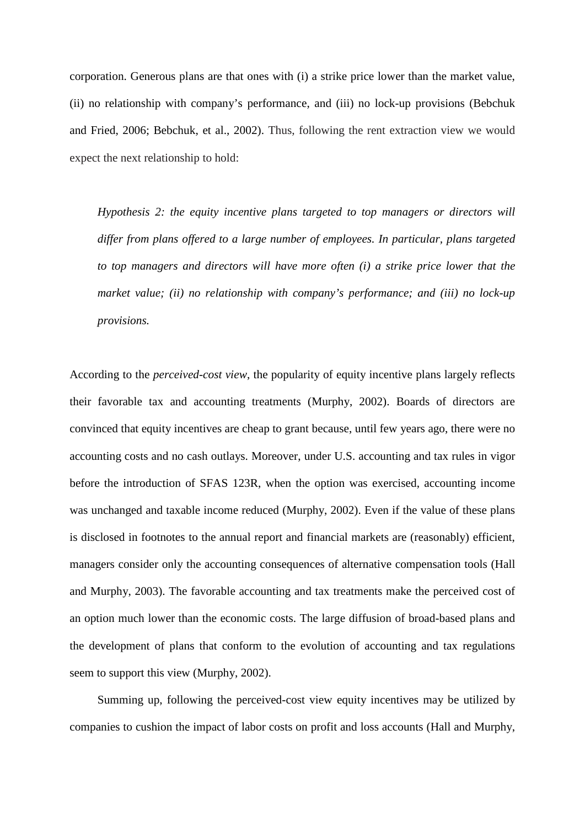corporation. Generous plans are that ones with (i) a strike price lower than the market value, (ii) no relationship with company's performance, and (iii) no lock-up provisions (Bebchuk and Fried, 2006; Bebchuk, et al., 2002). Thus, following the rent extraction view we would expect the next relationship to hold:

*Hypothesis 2: the equity incentive plans targeted to top managers or directors will differ from plans offered to a large number of employees. In particular, plans targeted to top managers and directors will have more often (i) a strike price lower that the market value; (ii) no relationship with company's performance; and (iii) no lock-up provisions.*

According to the *perceived-cost view*, the popularity of equity incentive plans largely reflects their favorable tax and accounting treatments (Murphy, 2002). Boards of directors are convinced that equity incentives are cheap to grant because, until few years ago, there were no accounting costs and no cash outlays. Moreover, under U.S. accounting and tax rules in vigor before the introduction of SFAS 123R, when the option was exercised, accounting income was unchanged and taxable income reduced (Murphy, 2002). Even if the value of these plans is disclosed in footnotes to the annual report and financial markets are (reasonably) efficient, managers consider only the accounting consequences of alternative compensation tools (Hall and Murphy, 2003). The favorable accounting and tax treatments make the perceived cost of an option much lower than the economic costs. The large diffusion of broad-based plans and the development of plans that conform to the evolution of accounting and tax regulations seem to support this view (Murphy, 2002).

Summing up, following the perceived-cost view equity incentives may be utilized by companies to cushion the impact of labor costs on profit and loss accounts (Hall and Murphy,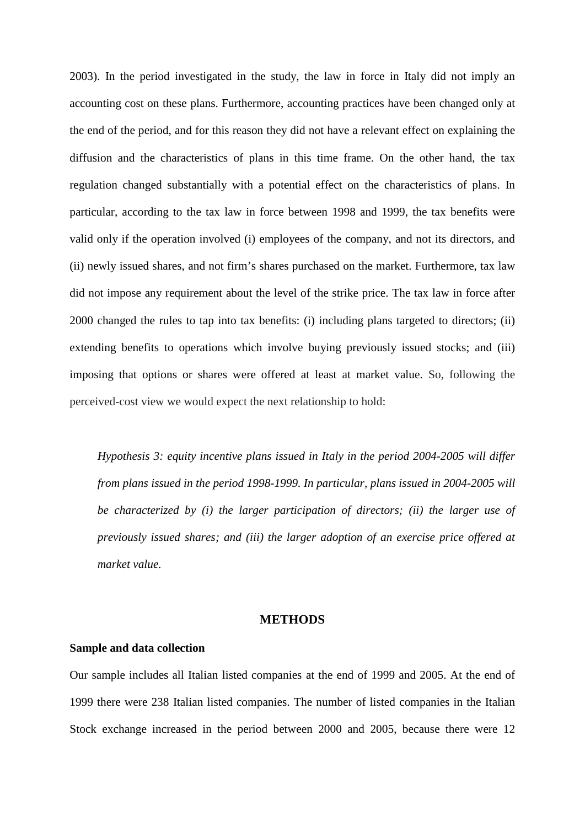2003). In the period investigated in the study, the law in force in Italy did not imply an accounting cost on these plans. Furthermore, accounting practices have been changed only at the end of the period, and for this reason they did not have a relevant effect on explaining the diffusion and the characteristics of plans in this time frame. On the other hand, the tax regulation changed substantially with a potential effect on the characteristics of plans. In particular, according to the tax law in force between 1998 and 1999, the tax benefits were valid only if the operation involved (i) employees of the company, and not its directors, and (ii) newly issued shares, and not firm's shares purchased on the market. Furthermore, tax law did not impose any requirement about the level of the strike price. The tax law in force after 2000 changed the rules to tap into tax benefits: (i) including plans targeted to directors; (ii) extending benefits to operations which involve buying previously issued stocks; and (iii) imposing that options or shares were offered at least at market value. So, following the perceived-cost view we would expect the next relationship to hold:

*Hypothesis 3: equity incentive plans issued in Italy in the period 2004-2005 will differ from plans issued in the period 1998-1999. In particular, plans issued in 2004-2005 will be characterized by (i) the larger participation of directors; (ii) the larger use of previously issued shares; and (iii) the larger adoption of an exercise price offered at market value.*

## **METHODS**

#### **Sample and data collection**

Our sample includes all Italian listed companies at the end of 1999 and 2005. At the end of 1999 there were 238 Italian listed companies. The number of listed companies in the Italian Stock exchange increased in the period between 2000 and 2005, because there were 12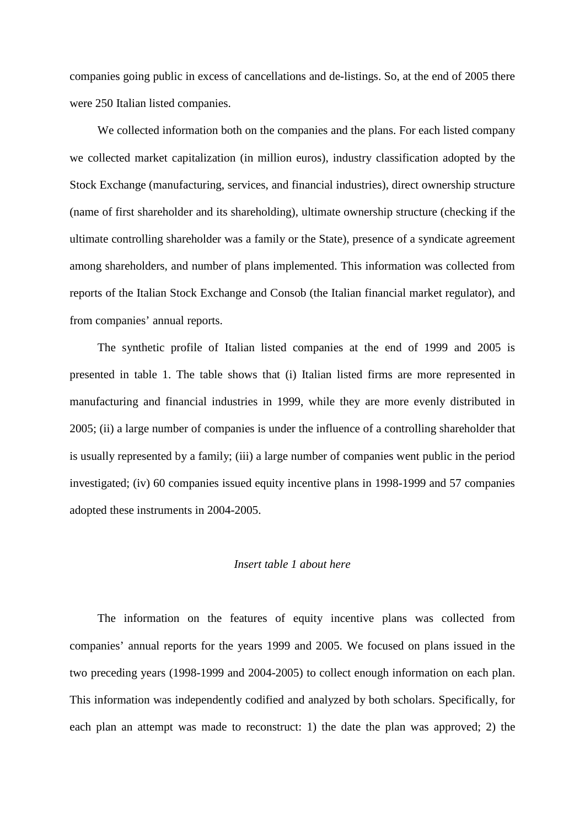companies going public in excess of cancellations and de-listings. So, at the end of 2005 there were 250 Italian listed companies.

We collected information both on the companies and the plans. For each listed company we collected market capitalization (in million euros), industry classification adopted by the Stock Exchange (manufacturing, services, and financial industries), direct ownership structure (name of first shareholder and its shareholding), ultimate ownership structure (checking if the ultimate controlling shareholder was a family or the State), presence of a syndicate agreement among shareholders, and number of plans implemented. This information was collected from reports of the Italian Stock Exchange and Consob (the Italian financial market regulator), and from companies' annual reports.

The synthetic profile of Italian listed companies at the end of 1999 and 2005 is presented in table 1. The table shows that (i) Italian listed firms are more represented in manufacturing and financial industries in 1999, while they are more evenly distributed in 2005; (ii) a large number of companies is under the influence of a controlling shareholder that is usually represented by a family; (iii) a large number of companies went public in the period investigated; (iv) 60 companies issued equity incentive plans in 1998-1999 and 57 companies adopted these instruments in 2004-2005.

## *Insert table 1 about here*

The information on the features of equity incentive plans was collected from companies' annual reports for the years 1999 and 2005. We focused on plans issued in the two preceding years (1998-1999 and 2004-2005) to collect enough information on each plan. This information was independently codified and analyzed by both scholars. Specifically, for each plan an attempt was made to reconstruct: 1) the date the plan was approved; 2) the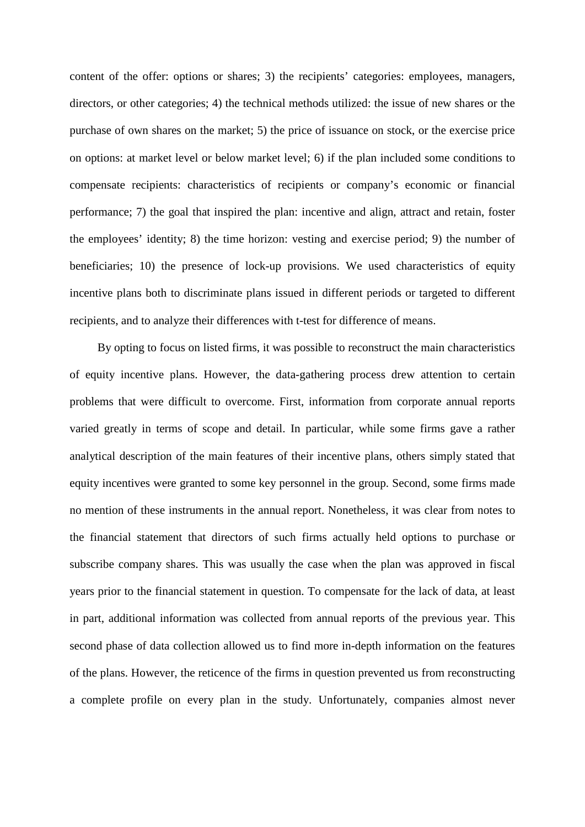content of the offer: options or shares; 3) the recipients' categories: employees, managers, directors, or other categories; 4) the technical methods utilized: the issue of new shares or the purchase of own shares on the market; 5) the price of issuance on stock, or the exercise price on options: at market level or below market level; 6) if the plan included some conditions to compensate recipients: characteristics of recipients or company's economic or financial performance; 7) the goal that inspired the plan: incentive and align, attract and retain, foster the employees' identity; 8) the time horizon: vesting and exercise period; 9) the number of beneficiaries; 10) the presence of lock-up provisions. We used characteristics of equity incentive plans both to discriminate plans issued in different periods or targeted to different recipients, and to analyze their differences with t-test for difference of means.

By opting to focus on listed firms, it was possible to reconstruct the main characteristics of equity incentive plans. However, the data-gathering process drew attention to certain problems that were difficult to overcome. First, information from corporate annual reports varied greatly in terms of scope and detail. In particular, while some firms gave a rather analytical description of the main features of their incentive plans, others simply stated that equity incentives were granted to some key personnel in the group. Second, some firms made no mention of these instruments in the annual report. Nonetheless, it was clear from notes to the financial statement that directors of such firms actually held options to purchase or subscribe company shares. This was usually the case when the plan was approved in fiscal years prior to the financial statement in question. To compensate for the lack of data, at least in part, additional information was collected from annual reports of the previous year. This second phase of data collection allowed us to find more in-depth information on the features of the plans. However, the reticence of the firms in question prevented us from reconstructing a complete profile on every plan in the study. Unfortunately, companies almost never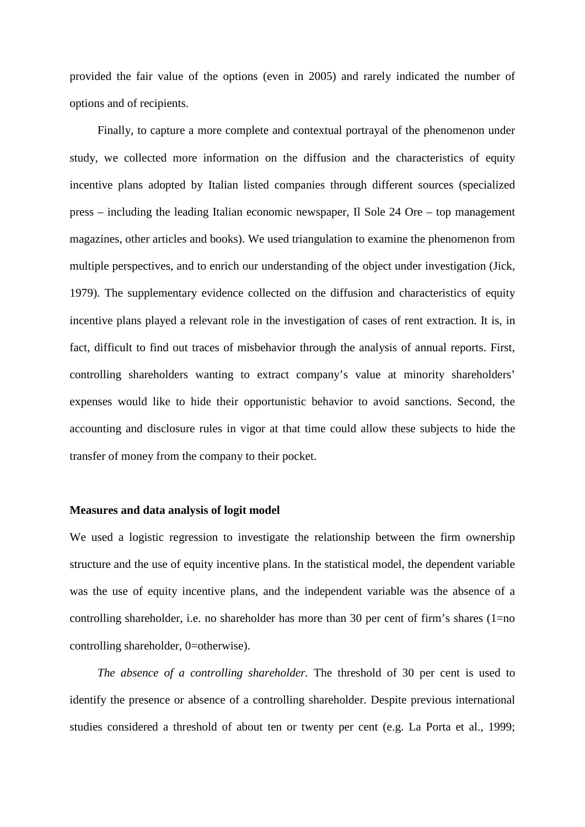provided the fair value of the options (even in 2005) and rarely indicated the number of options and of recipients.

Finally, to capture a more complete and contextual portrayal of the phenomenon under study, we collected more information on the diffusion and the characteristics of equity incentive plans adopted by Italian listed companies through different sources (specialized press – including the leading Italian economic newspaper, Il Sole 24 Ore – top management magazines, other articles and books). We used triangulation to examine the phenomenon from multiple perspectives, and to enrich our understanding of the object under investigation (Jick, 1979). The supplementary evidence collected on the diffusion and characteristics of equity incentive plans played a relevant role in the investigation of cases of rent extraction. It is, in fact, difficult to find out traces of misbehavior through the analysis of annual reports. First, controlling shareholders wanting to extract company's value at minority shareholders' expenses would like to hide their opportunistic behavior to avoid sanctions. Second, the accounting and disclosure rules in vigor at that time could allow these subjects to hide the transfer of money from the company to their pocket.

#### **Measures and data analysis of logit model**

We used a logistic regression to investigate the relationship between the firm ownership structure and the use of equity incentive plans. In the statistical model, the dependent variable was the use of equity incentive plans, and the independent variable was the absence of a controlling shareholder, i.e. no shareholder has more than 30 per cent of firm's shares (1=no controlling shareholder, 0=otherwise).

*The absence of a controlling shareholder.* The threshold of 30 per cent is used to identify the presence or absence of a controlling shareholder. Despite previous international studies considered a threshold of about ten or twenty per cent (e.g. La Porta et al., 1999;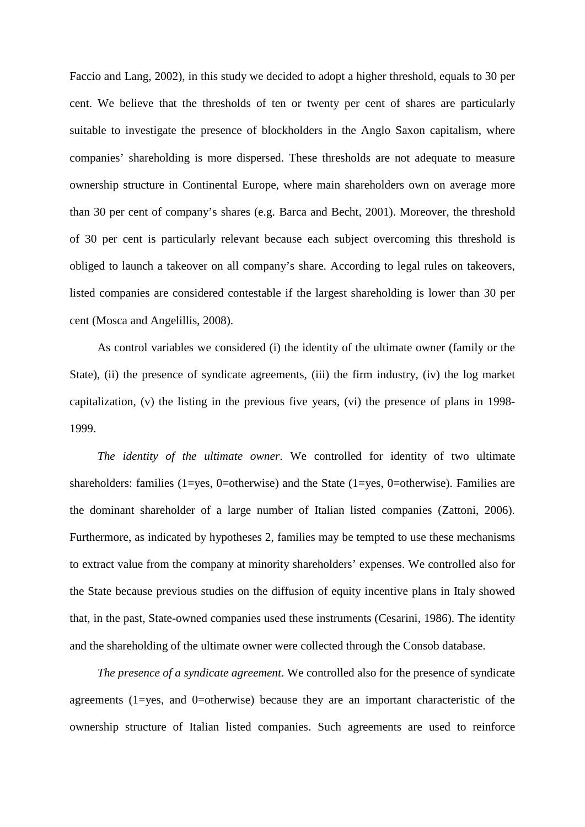Faccio and Lang, 2002), in this study we decided to adopt a higher threshold, equals to 30 per cent. We believe that the thresholds of ten or twenty per cent of shares are particularly suitable to investigate the presence of blockholders in the Anglo Saxon capitalism, where companies' shareholding is more dispersed. These thresholds are not adequate to measure ownership structure in Continental Europe, where main shareholders own on average more than 30 per cent of company's shares (e.g. Barca and Becht, 2001). Moreover, the threshold of 30 per cent is particularly relevant because each subject overcoming this threshold is obliged to launch a takeover on all company's share. According to legal rules on takeovers, listed companies are considered contestable if the largest shareholding is lower than 30 per cent (Mosca and Angelillis, 2008).

As control variables we considered (i) the identity of the ultimate owner (family or the State), (ii) the presence of syndicate agreements, (iii) the firm industry, (iv) the log market capitalization, (v) the listing in the previous five years, (vi) the presence of plans in 1998- 1999.

*The identity of the ultimate owner*. We controlled for identity of two ultimate shareholders: families (1=yes, 0=otherwise) and the State (1=yes, 0=otherwise). Families are the dominant shareholder of a large number of Italian listed companies (Zattoni, 2006). Furthermore, as indicated by hypotheses 2, families may be tempted to use these mechanisms to extract value from the company at minority shareholders' expenses. We controlled also for the State because previous studies on the diffusion of equity incentive plans in Italy showed that, in the past, State-owned companies used these instruments (Cesarini, 1986). The identity and the shareholding of the ultimate owner were collected through the Consob database.

*The presence of a syndicate agreement*. We controlled also for the presence of syndicate agreements (1=yes, and 0=otherwise) because they are an important characteristic of the ownership structure of Italian listed companies. Such agreements are used to reinforce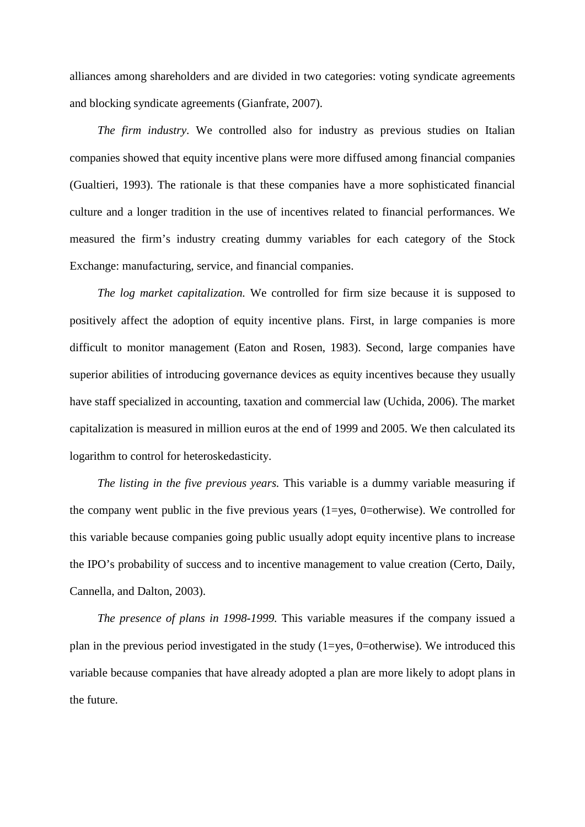alliances among shareholders and are divided in two categories: voting syndicate agreements and blocking syndicate agreements (Gianfrate, 2007).

*The firm industry*. We controlled also for industry as previous studies on Italian companies showed that equity incentive plans were more diffused among financial companies (Gualtieri, 1993). The rationale is that these companies have a more sophisticated financial culture and a longer tradition in the use of incentives related to financial performances. We measured the firm's industry creating dummy variables for each category of the Stock Exchange: manufacturing, service, and financial companies.

*The log market capitalization.* We controlled for firm size because it is supposed to positively affect the adoption of equity incentive plans. First, in large companies is more difficult to monitor management (Eaton and Rosen, 1983). Second, large companies have superior abilities of introducing governance devices as equity incentives because they usually have staff specialized in accounting, taxation and commercial law (Uchida, 2006). The market capitalization is measured in million euros at the end of 1999 and 2005. We then calculated its logarithm to control for heteroskedasticity.

*The listing in the five previous years.* This variable is a dummy variable measuring if the company went public in the five previous years (1=yes, 0=otherwise). We controlled for this variable because companies going public usually adopt equity incentive plans to increase the IPO's probability of success and to incentive management to value creation (Certo, Daily, Cannella, and Dalton, 2003).

*The presence of plans in 1998-1999.* This variable measures if the company issued a plan in the previous period investigated in the study (1=yes, 0=otherwise). We introduced this variable because companies that have already adopted a plan are more likely to adopt plans in the future.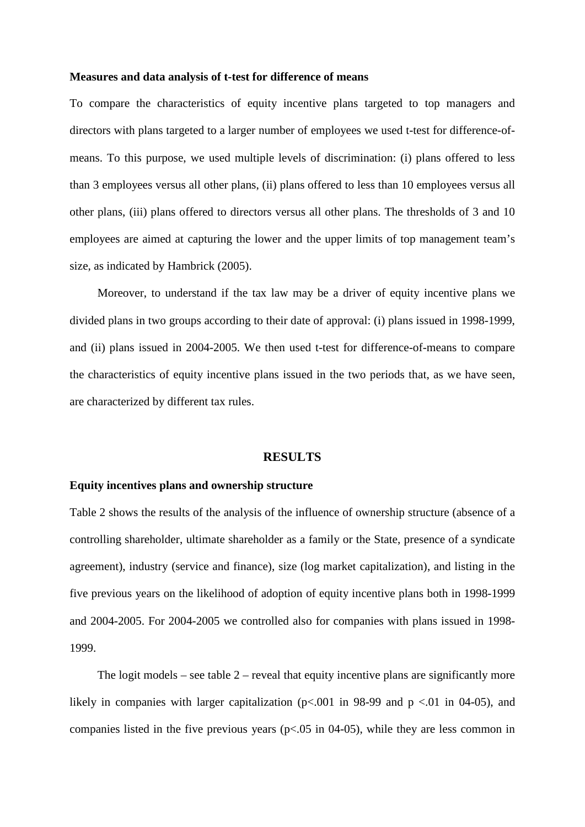#### **Measures and data analysis of t-test for difference of means**

To compare the characteristics of equity incentive plans targeted to top managers and directors with plans targeted to a larger number of employees we used t-test for difference-ofmeans. To this purpose, we used multiple levels of discrimination: (i) plans offered to less than 3 employees versus all other plans, (ii) plans offered to less than 10 employees versus all other plans, (iii) plans offered to directors versus all other plans. The thresholds of 3 and 10 employees are aimed at capturing the lower and the upper limits of top management team's size, as indicated by Hambrick (2005).

Moreover, to understand if the tax law may be a driver of equity incentive plans we divided plans in two groups according to their date of approval: (i) plans issued in 1998-1999, and (ii) plans issued in 2004-2005. We then used t-test for difference-of-means to compare the characteristics of equity incentive plans issued in the two periods that, as we have seen, are characterized by different tax rules.

#### **RESULTS**

#### **Equity incentives plans and ownership structure**

Table 2 shows the results of the analysis of the influence of ownership structure (absence of a controlling shareholder, ultimate shareholder as a family or the State, presence of a syndicate agreement), industry (service and finance), size (log market capitalization), and listing in the five previous years on the likelihood of adoption of equity incentive plans both in 1998-1999 and 2004-2005. For 2004-2005 we controlled also for companies with plans issued in 1998- 1999.

The logit models – see table  $2$  – reveal that equity incentive plans are significantly more likely in companies with larger capitalization ( $p<.001$  in 98-99 and  $p < .01$  in 04-05), and companies listed in the five previous years ( $p<0.05$  in 04-05), while they are less common in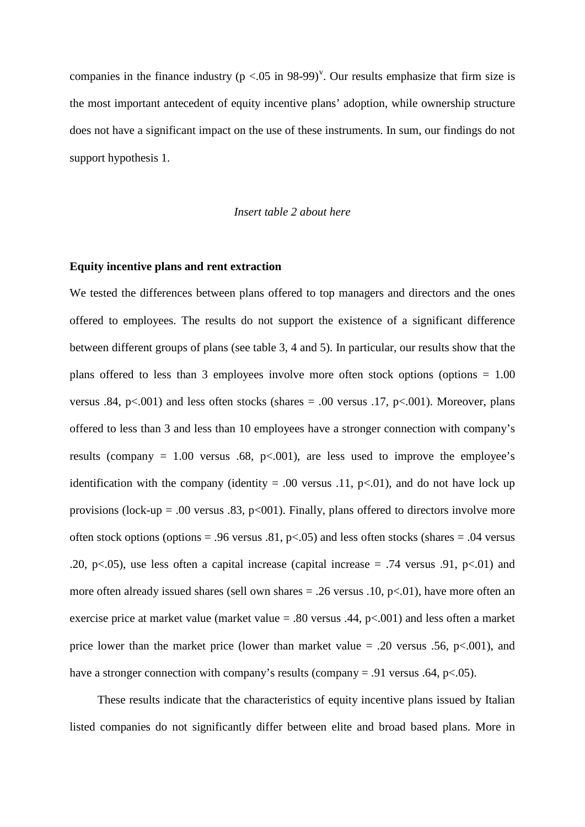companies in the finance industry ( $p < .05$  in 98-99)<sup>[v](#page-45-4)</sup>. Our results emphasize that firm size is the most important antecedent of equity incentive plans' adoption, while ownership structure does not have a significant impact on the use of these instruments. In sum, our findings do not support hypothesis 1.

## *Insert table 2 about here*

## **Equity incentive plans and rent extraction**

We tested the differences between plans offered to top managers and directors and the ones offered to employees. The results do not support the existence of a significant difference between different groups of plans (see table 3, 4 and 5). In particular, our results show that the plans offered to less than 3 employees involve more often stock options (options = 1.00 versus .84, p<.001) and less often stocks (shares = .00 versus .17, p<.001). Moreover, plans offered to less than 3 and less than 10 employees have a stronger connection with company's results (company =  $1.00$  versus .68, p<.001), are less used to improve the employee's identification with the company (identity = .00 versus .11,  $p<0$ ), and do not have lock up provisions (lock-up = .00 versus .83,  $p<001$ ). Finally, plans offered to directors involve more often stock options (options = .96 versus .81, p $\lt$ .05) and less often stocks (shares = .04 versus .20, p $\lt$ .05), use less often a capital increase (capital increase = .74 versus .91, p $\lt$ .01) and more often already issued shares (sell own shares  $= .26$  versus .10, p $< .01$ ), have more often an exercise price at market value (market value = .80 versus .44,  $p<.001$ ) and less often a market price lower than the market price (lower than market value  $= .20$  versus .56, p $< .001$ ), and have a stronger connection with company's results (company = .91 versus .64, p<.05).

These results indicate that the characteristics of equity incentive plans issued by Italian listed companies do not significantly differ between elite and broad based plans. More in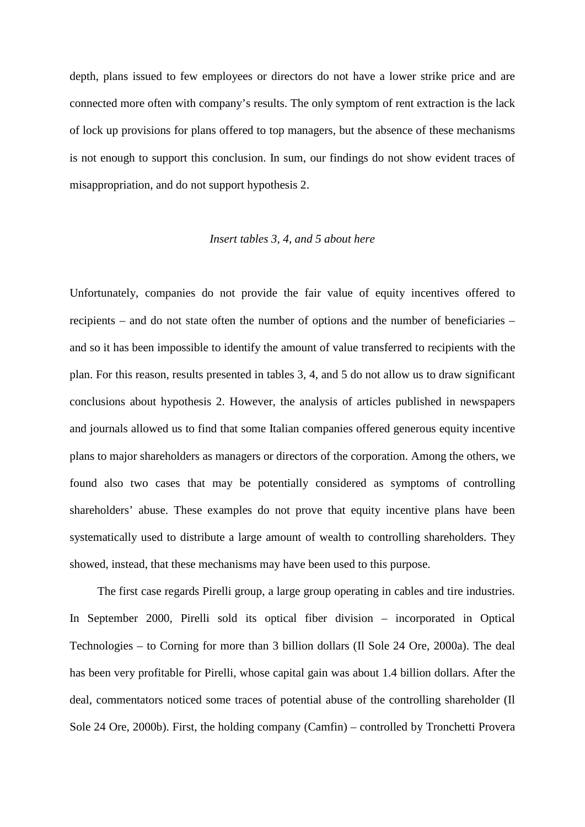depth, plans issued to few employees or directors do not have a lower strike price and are connected more often with company's results. The only symptom of rent extraction is the lack of lock up provisions for plans offered to top managers, but the absence of these mechanisms is not enough to support this conclusion. In sum, our findings do not show evident traces of misappropriation, and do not support hypothesis 2.

#### *Insert tables 3, 4, and 5 about here*

Unfortunately, companies do not provide the fair value of equity incentives offered to recipients – and do not state often the number of options and the number of beneficiaries – and so it has been impossible to identify the amount of value transferred to recipients with the plan. For this reason, results presented in tables 3, 4, and 5 do not allow us to draw significant conclusions about hypothesis 2. However, the analysis of articles published in newspapers and journals allowed us to find that some Italian companies offered generous equity incentive plans to major shareholders as managers or directors of the corporation. Among the others, we found also two cases that may be potentially considered as symptoms of controlling shareholders' abuse. These examples do not prove that equity incentive plans have been systematically used to distribute a large amount of wealth to controlling shareholders. They showed, instead, that these mechanisms may have been used to this purpose.

The first case regards Pirelli group, a large group operating in cables and tire industries. In September 2000, Pirelli sold its optical fiber division – incorporated in Optical Technologies – to Corning for more than 3 billion dollars (Il Sole 24 Ore, 2000a). The deal has been very profitable for Pirelli, whose capital gain was about 1.4 billion dollars. After the deal, commentators noticed some traces of potential abuse of the controlling shareholder (Il Sole 24 Ore, 2000b). First, the holding company (Camfin) – controlled by Tronchetti Provera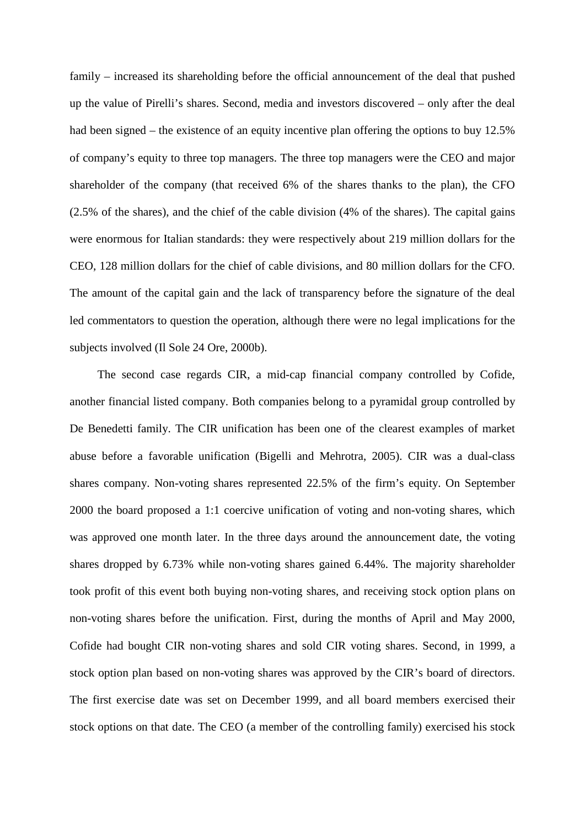family – increased its shareholding before the official announcement of the deal that pushed up the value of Pirelli's shares. Second, media and investors discovered – only after the deal had been signed – the existence of an equity incentive plan offering the options to buy 12.5% of company's equity to three top managers. The three top managers were the CEO and major shareholder of the company (that received 6% of the shares thanks to the plan), the CFO (2.5% of the shares), and the chief of the cable division (4% of the shares). The capital gains were enormous for Italian standards: they were respectively about 219 million dollars for the CEO, 128 million dollars for the chief of cable divisions, and 80 million dollars for the CFO. The amount of the capital gain and the lack of transparency before the signature of the deal led commentators to question the operation, although there were no legal implications for the subjects involved (Il Sole 24 Ore, 2000b).

The second case regards CIR, a mid-cap financial company controlled by Cofide, another financial listed company. Both companies belong to a pyramidal group controlled by De Benedetti family. The CIR unification has been one of the clearest examples of market abuse before a favorable unification (Bigelli and Mehrotra, 2005). CIR was a dual-class shares company. Non-voting shares represented 22.5% of the firm's equity. On September 2000 the board proposed a 1:1 coercive unification of voting and non-voting shares, which was approved one month later. In the three days around the announcement date, the voting shares dropped by 6.73% while non-voting shares gained 6.44%. The majority shareholder took profit of this event both buying non-voting shares, and receiving stock option plans on non-voting shares before the unification. First, during the months of April and May 2000, Cofide had bought CIR non-voting shares and sold CIR voting shares. Second, in 1999, a stock option plan based on non-voting shares was approved by the CIR's board of directors. The first exercise date was set on December 1999, and all board members exercised their stock options on that date. The CEO (a member of the controlling family) exercised his stock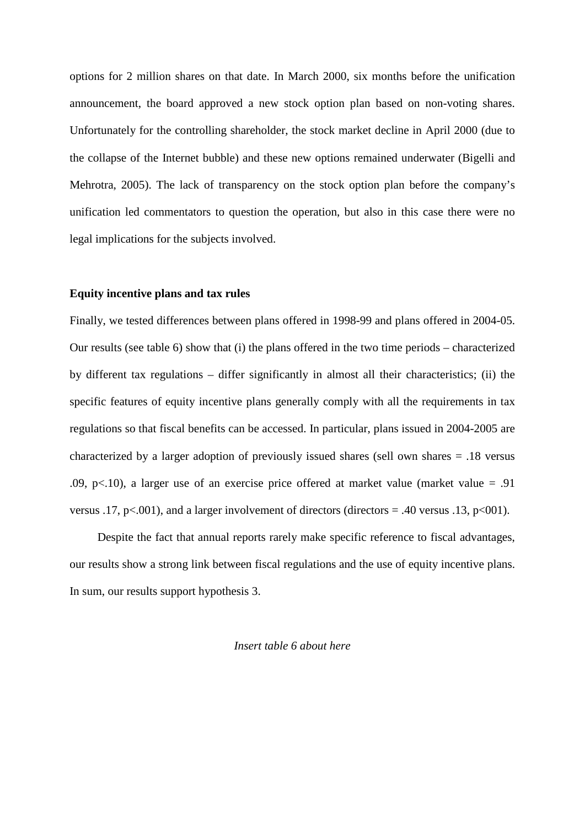options for 2 million shares on that date. In March 2000, six months before the unification announcement, the board approved a new stock option plan based on non-voting shares. Unfortunately for the controlling shareholder, the stock market decline in April 2000 (due to the collapse of the Internet bubble) and these new options remained underwater (Bigelli and Mehrotra, 2005). The lack of transparency on the stock option plan before the company's unification led commentators to question the operation, but also in this case there were no legal implications for the subjects involved.

## **Equity incentive plans and tax rules**

Finally, we tested differences between plans offered in 1998-99 and plans offered in 2004-05. Our results (see table 6) show that (i) the plans offered in the two time periods – characterized by different tax regulations – differ significantly in almost all their characteristics; (ii) the specific features of equity incentive plans generally comply with all the requirements in tax regulations so that fiscal benefits can be accessed. In particular, plans issued in 2004-2005 are characterized by a larger adoption of previously issued shares (sell own shares = .18 versus .09, p $\lt$ .10), a larger use of an exercise price offered at market value (market value = .91) versus .17, p<.001), and a larger involvement of directors (directors = .40 versus .13, p<001).

Despite the fact that annual reports rarely make specific reference to fiscal advantages, our results show a strong link between fiscal regulations and the use of equity incentive plans. In sum, our results support hypothesis 3.

## *Insert table 6 about here*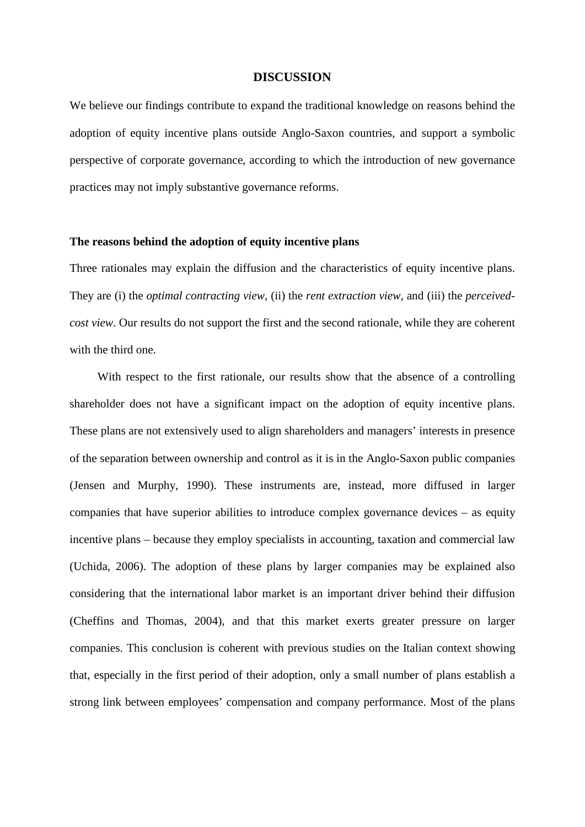#### **DISCUSSION**

We believe our findings contribute to expand the traditional knowledge on reasons behind the adoption of equity incentive plans outside Anglo-Saxon countries, and support a symbolic perspective of corporate governance, according to which the introduction of new governance practices may not imply substantive governance reforms.

#### **The reasons behind the adoption of equity incentive plans**

Three rationales may explain the diffusion and the characteristics of equity incentive plans. They are (i) the *optimal contracting view,* (ii) the *rent extraction view*, and (iii) the *perceivedcost view*. Our results do not support the first and the second rationale, while they are coherent with the third one.

With respect to the first rationale, our results show that the absence of a controlling shareholder does not have a significant impact on the adoption of equity incentive plans. These plans are not extensively used to align shareholders and managers' interests in presence of the separation between ownership and control as it is in the Anglo-Saxon public companies (Jensen and Murphy, 1990). These instruments are, instead, more diffused in larger companies that have superior abilities to introduce complex governance devices – as equity incentive plans – because they employ specialists in accounting, taxation and commercial law (Uchida, 2006). The adoption of these plans by larger companies may be explained also considering that the international labor market is an important driver behind their diffusion (Cheffins and Thomas, 2004), and that this market exerts greater pressure on larger companies. This conclusion is coherent with previous studies on the Italian context showing that, especially in the first period of their adoption, only a small number of plans establish a strong link between employees' compensation and company performance. Most of the plans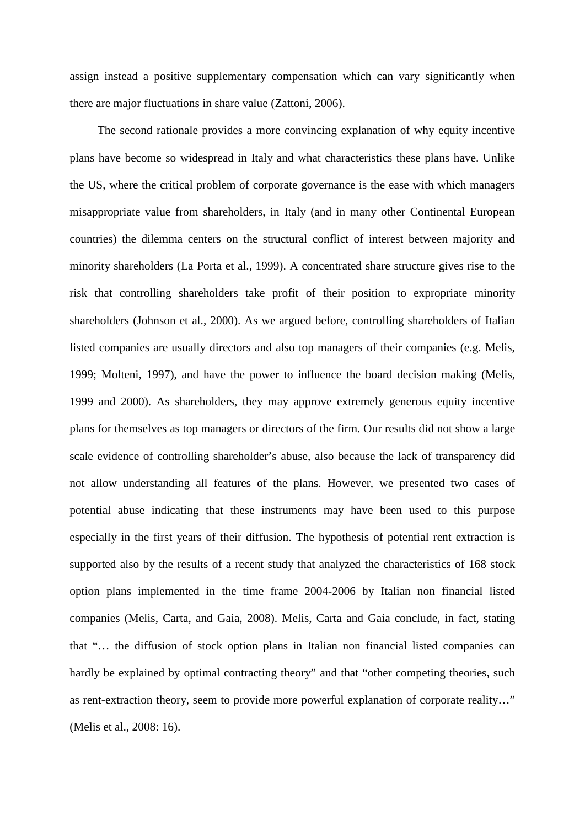assign instead a positive supplementary compensation which can vary significantly when there are major fluctuations in share value (Zattoni, 2006).

The second rationale provides a more convincing explanation of why equity incentive plans have become so widespread in Italy and what characteristics these plans have. Unlike the US, where the critical problem of corporate governance is the ease with which managers misappropriate value from shareholders, in Italy (and in many other Continental European countries) the dilemma centers on the structural conflict of interest between majority and minority shareholders (La Porta et al., 1999). A concentrated share structure gives rise to the risk that controlling shareholders take profit of their position to expropriate minority shareholders (Johnson et al., 2000). As we argued before, controlling shareholders of Italian listed companies are usually directors and also top managers of their companies (e.g. Melis, 1999; Molteni, 1997), and have the power to influence the board decision making (Melis, 1999 and 2000). As shareholders, they may approve extremely generous equity incentive plans for themselves as top managers or directors of the firm. Our results did not show a large scale evidence of controlling shareholder's abuse, also because the lack of transparency did not allow understanding all features of the plans. However, we presented two cases of potential abuse indicating that these instruments may have been used to this purpose especially in the first years of their diffusion. The hypothesis of potential rent extraction is supported also by the results of a recent study that analyzed the characteristics of 168 stock option plans implemented in the time frame 2004-2006 by Italian non financial listed companies (Melis, Carta, and Gaia, 2008). Melis, Carta and Gaia conclude, in fact, stating that "… the diffusion of stock option plans in Italian non financial listed companies can hardly be explained by optimal contracting theory" and that "other competing theories, such as rent-extraction theory, seem to provide more powerful explanation of corporate reality…" (Melis et al., 2008: 16).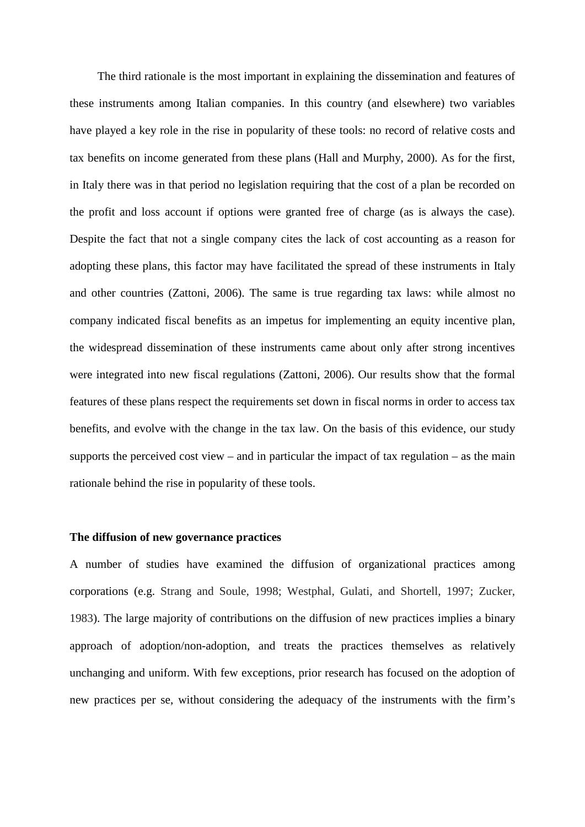The third rationale is the most important in explaining the dissemination and features of these instruments among Italian companies. In this country (and elsewhere) two variables have played a key role in the rise in popularity of these tools: no record of relative costs and tax benefits on income generated from these plans (Hall and Murphy, 2000). As for the first, in Italy there was in that period no legislation requiring that the cost of a plan be recorded on the profit and loss account if options were granted free of charge (as is always the case). Despite the fact that not a single company cites the lack of cost accounting as a reason for adopting these plans, this factor may have facilitated the spread of these instruments in Italy and other countries (Zattoni, 2006). The same is true regarding tax laws: while almost no company indicated fiscal benefits as an impetus for implementing an equity incentive plan, the widespread dissemination of these instruments came about only after strong incentives were integrated into new fiscal regulations (Zattoni, 2006). Our results show that the formal features of these plans respect the requirements set down in fiscal norms in order to access tax benefits, and evolve with the change in the tax law. On the basis of this evidence, our study supports the perceived cost view – and in particular the impact of tax regulation – as the main rationale behind the rise in popularity of these tools.

### **The diffusion of new governance practices**

A number of studies have examined the diffusion of organizational practices among corporations (e.g. Strang and Soule, 1998; Westphal, Gulati, and Shortell, 1997; Zucker, 1983). The large majority of contributions on the diffusion of new practices implies a binary approach of adoption/non-adoption, and treats the practices themselves as relatively unchanging and uniform. With few exceptions, prior research has focused on the adoption of new practices per se, without considering the adequacy of the instruments with the firm's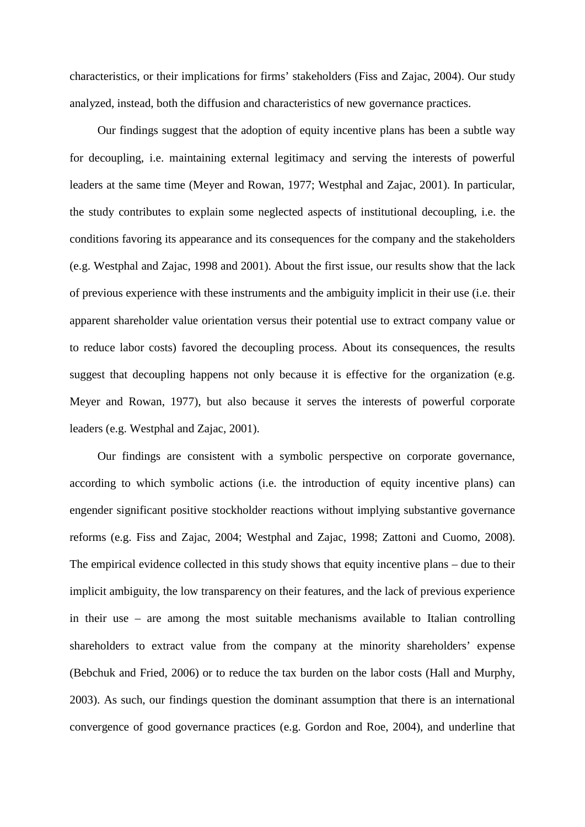characteristics, or their implications for firms' stakeholders (Fiss and Zajac, 2004). Our study analyzed, instead, both the diffusion and characteristics of new governance practices.

Our findings suggest that the adoption of equity incentive plans has been a subtle way for decoupling, i.e. maintaining external legitimacy and serving the interests of powerful leaders at the same time (Meyer and Rowan, 1977; Westphal and Zajac, 2001). In particular, the study contributes to explain some neglected aspects of institutional decoupling, i.e. the conditions favoring its appearance and its consequences for the company and the stakeholders (e.g. Westphal and Zajac, 1998 and 2001). About the first issue, our results show that the lack of previous experience with these instruments and the ambiguity implicit in their use (i.e. their apparent shareholder value orientation versus their potential use to extract company value or to reduce labor costs) favored the decoupling process. About its consequences, the results suggest that decoupling happens not only because it is effective for the organization (e.g. Meyer and Rowan, 1977), but also because it serves the interests of powerful corporate leaders (e.g. Westphal and Zajac, 2001).

Our findings are consistent with a symbolic perspective on corporate governance, according to which symbolic actions (i.e. the introduction of equity incentive plans) can engender significant positive stockholder reactions without implying substantive governance reforms (e.g. Fiss and Zajac, 2004; Westphal and Zajac, 1998; Zattoni and Cuomo, 2008). The empirical evidence collected in this study shows that equity incentive plans – due to their implicit ambiguity, the low transparency on their features, and the lack of previous experience in their use – are among the most suitable mechanisms available to Italian controlling shareholders to extract value from the company at the minority shareholders' expense (Bebchuk and Fried, 2006) or to reduce the tax burden on the labor costs (Hall and Murphy, 2003). As such, our findings question the dominant assumption that there is an international convergence of good governance practices (e.g. Gordon and Roe, 2004), and underline that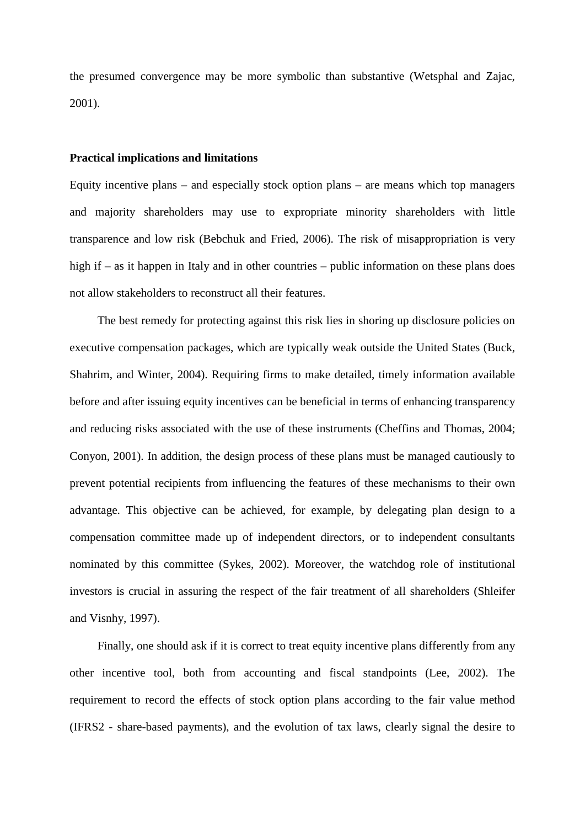the presumed convergence may be more symbolic than substantive (Wetsphal and Zajac, 2001).

## **Practical implications and limitations**

Equity incentive plans – and especially stock option plans – are means which top managers and majority shareholders may use to expropriate minority shareholders with little transparence and low risk (Bebchuk and Fried, 2006). The risk of misappropriation is very high if – as it happen in Italy and in other countries – public information on these plans does not allow stakeholders to reconstruct all their features.

The best remedy for protecting against this risk lies in shoring up disclosure policies on executive compensation packages, which are typically weak outside the United States (Buck, Shahrim, and Winter, 2004). Requiring firms to make detailed, timely information available before and after issuing equity incentives can be beneficial in terms of enhancing transparency and reducing risks associated with the use of these instruments (Cheffins and Thomas, 2004; Conyon, 2001). In addition, the design process of these plans must be managed cautiously to prevent potential recipients from influencing the features of these mechanisms to their own advantage. This objective can be achieved, for example, by delegating plan design to a compensation committee made up of independent directors, or to independent consultants nominated by this committee (Sykes, 2002). Moreover, the watchdog role of institutional investors is crucial in assuring the respect of the fair treatment of all shareholders (Shleifer and Visnhy, 1997).

Finally, one should ask if it is correct to treat equity incentive plans differently from any other incentive tool, both from accounting and fiscal standpoints (Lee, 2002). The requirement to record the effects of stock option plans according to the fair value method (IFRS2 - share-based payments), and the evolution of tax laws, clearly signal the desire to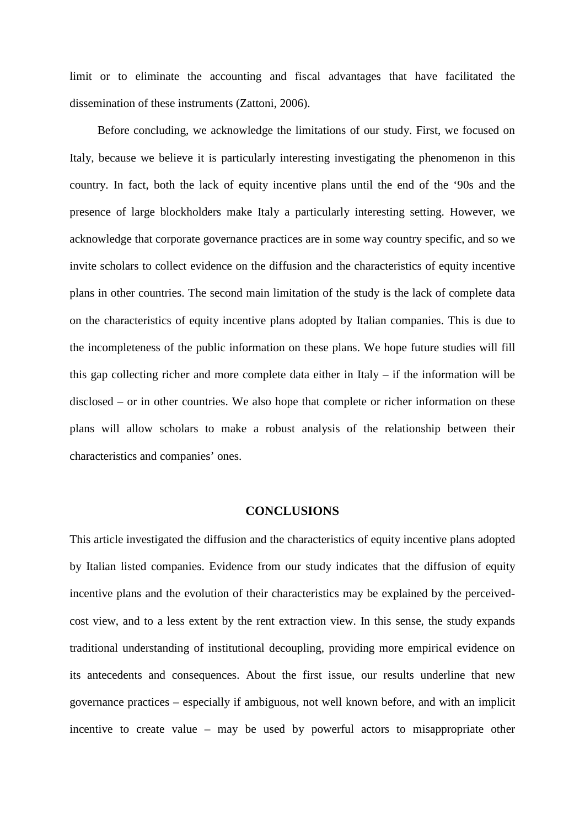limit or to eliminate the accounting and fiscal advantages that have facilitated the dissemination of these instruments (Zattoni, 2006).

Before concluding, we acknowledge the limitations of our study. First, we focused on Italy, because we believe it is particularly interesting investigating the phenomenon in this country. In fact, both the lack of equity incentive plans until the end of the '90s and the presence of large blockholders make Italy a particularly interesting setting. However, we acknowledge that corporate governance practices are in some way country specific, and so we invite scholars to collect evidence on the diffusion and the characteristics of equity incentive plans in other countries. The second main limitation of the study is the lack of complete data on the characteristics of equity incentive plans adopted by Italian companies. This is due to the incompleteness of the public information on these plans. We hope future studies will fill this gap collecting richer and more complete data either in Italy – if the information will be disclosed – or in other countries. We also hope that complete or richer information on these plans will allow scholars to make a robust analysis of the relationship between their characteristics and companies' ones.

#### **CONCLUSIONS**

This article investigated the diffusion and the characteristics of equity incentive plans adopted by Italian listed companies. Evidence from our study indicates that the diffusion of equity incentive plans and the evolution of their characteristics may be explained by the perceivedcost view, and to a less extent by the rent extraction view. In this sense, the study expands traditional understanding of institutional decoupling, providing more empirical evidence on its antecedents and consequences. About the first issue, our results underline that new governance practices – especially if ambiguous, not well known before, and with an implicit incentive to create value – may be used by powerful actors to misappropriate other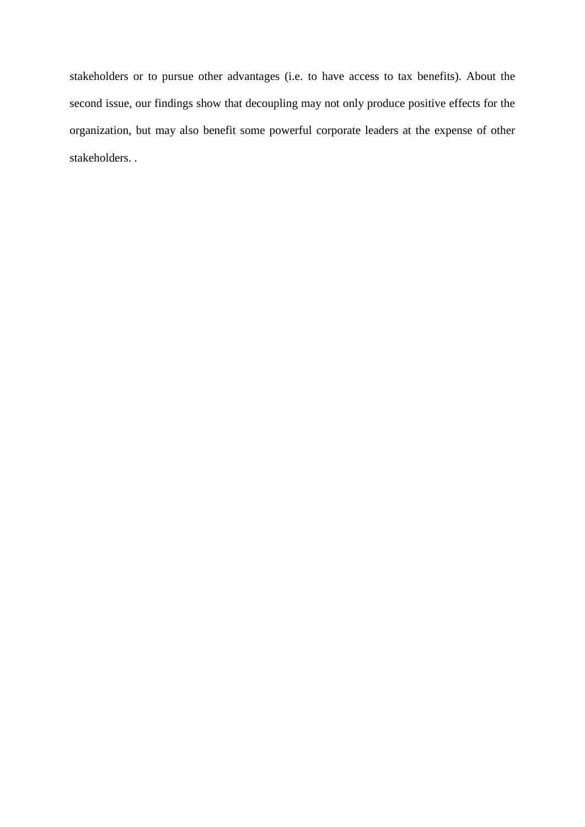stakeholders or to pursue other advantages (i.e. to have access to tax benefits). About the second issue, our findings show that decoupling may not only produce positive effects for the organization, but may also benefit some powerful corporate leaders at the expense of other stakeholders. .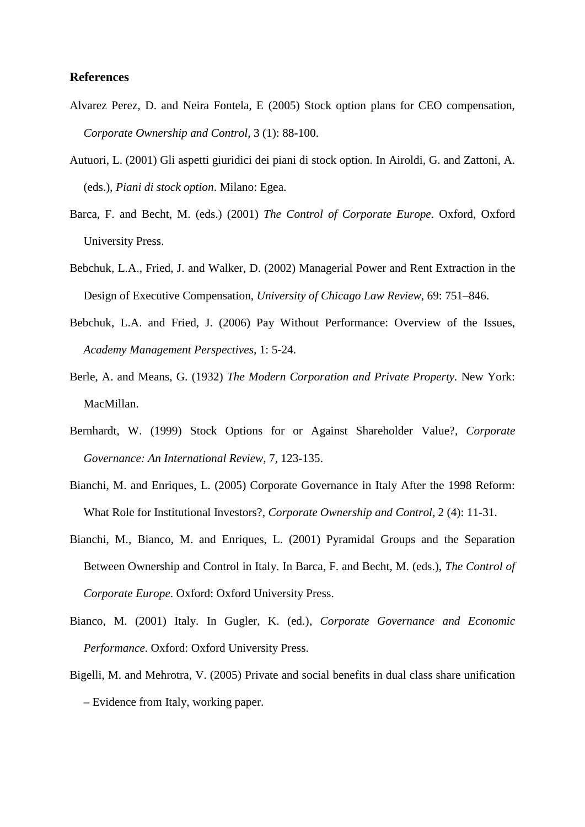## **References**

- Alvarez Perez, D. and Neira Fontela, E (2005) Stock option plans for CEO compensation, *Corporate Ownership and Control*, 3 (1): 88-100.
- Autuori, L. (2001) Gli aspetti giuridici dei piani di stock option. In Airoldi, G. and Zattoni, A. (eds.), *Piani di stock option*. Milano: Egea.
- Barca, F. and Becht, M. (eds.) (2001) *The Control of Corporate Europe*. Oxford, Oxford University Press.
- Bebchuk, L.A., Fried, J. and Walker, D. (2002) Managerial Power and Rent Extraction in the Design of Executive Compensation, *University of Chicago Law Review*, 69: 751–846.
- Bebchuk, L.A. and Fried, J. (2006) Pay Without Performance: Overview of the Issues, *Academy Management Perspectives*, 1: 5-24.
- Berle, A. and Means, G. (1932) *The Modern Corporation and Private Property.* New York: MacMillan.
- Bernhardt, W. (1999) Stock Options for or Against Shareholder Value?, *Corporate Governance: An International Review*, 7, 123-135.
- Bianchi, M. and Enriques, L. (2005) Corporate Governance in Italy After the 1998 Reform: What Role for Institutional Investors?, *Corporate Ownership and Control*, 2 (4): 11-31.
- Bianchi, M., Bianco, M. and Enriques, L. (2001) Pyramidal Groups and the Separation Between Ownership and Control in Italy. In Barca, F. and Becht, M. (eds.), *The Control of Corporate Europe*. Oxford: Oxford University Press.
- Bianco, M. (2001) Italy. In Gugler, K. (ed.), *Corporate Governance and Economic Performance*. Oxford: Oxford University Press.
- Bigelli, M. and Mehrotra, V. (2005) Private and social benefits in dual class share unification – Evidence from Italy, working paper.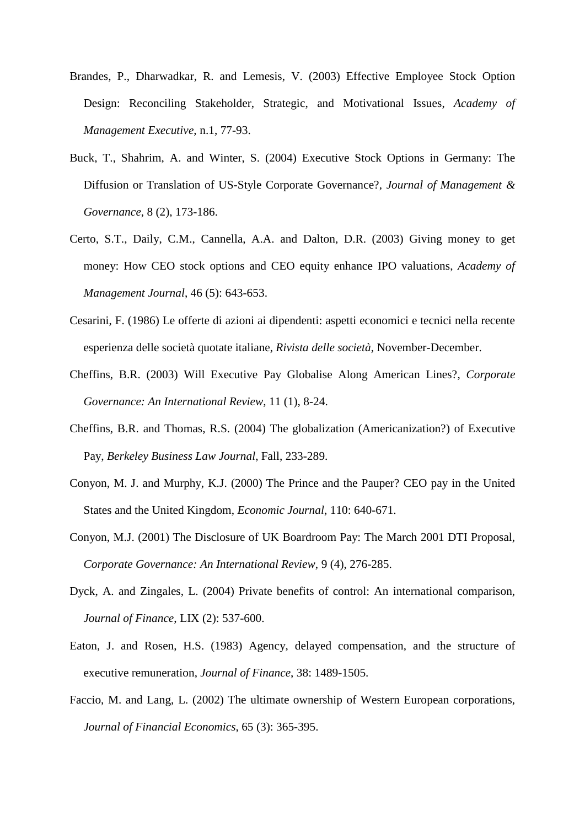- Brandes, P., Dharwadkar, R. and Lemesis, V. (2003) Effective Employee Stock Option Design: Reconciling Stakeholder, Strategic, and Motivational Issues, *Academy of Management Executive*, n.1, 77-93.
- Buck, T., Shahrim, A. and Winter, S. (2004) [Executive Stock Options in Germany: The](http://web.ebscohost.com/ehost/viewarticle?data=dGJyMPPp44rp2%2fdV0%2bnjisfk5Ie46bBRsqq1SbGk343y3qx68t6%2bSq2nt0ewpq5QnqewUrCtuEuzls5lpOrweezp33vy3%2b2G59q7RbSptEyzrbROtJzqeezdu33snOJ6u9jygKTq33%2b7t8w%2b3%2bS7SbSvrkyyq64%2b5OXwhd%2fqu37z4uqM4%2b7y&hid=117)  [Diffusion or Translation of US-Style Corporate Governance?,](http://web.ebscohost.com/ehost/viewarticle?data=dGJyMPPp44rp2%2fdV0%2bnjisfk5Ie46bBRsqq1SbGk343y3qx68t6%2bSq2nt0ewpq5QnqewUrCtuEuzls5lpOrweezp33vy3%2b2G59q7RbSptEyzrbROtJzqeezdu33snOJ6u9jygKTq33%2b7t8w%2b3%2bS7SbSvrkyyq64%2b5OXwhd%2fqu37z4uqM4%2b7y&hid=117) *Journal of Management & Governance*, 8 (2), 173-186.
- Certo, S.T., Daily, C.M., Cannella, A.A. and Dalton, D.R. (2003) Giving money to get money: How CEO stock options and CEO equity enhance IPO valuations, *Academy of Management Journal*, 46 (5): 643-653.
- Cesarini, F. (1986) Le offerte di azioni ai dipendenti: aspetti economici e tecnici nella recente esperienza delle società quotate italiane, *Rivista delle società*, November-December.
- Cheffins, B.R. (2003) Will Executive Pay Globalise Along American Lines?, *Corporate Governance: An International Review*, 11 (1), 8-24.
- Cheffins, B.R. and Thomas, R.S. (2004) The globalization (Americanization?) of Executive Pay, *Berkeley Business Law Journal*, Fall, 233-289.
- Conyon, M. J. and Murphy, K.J. (2000) The Prince and the Pauper? CEO pay in the United States and the United Kingdom, *Economic Journal*, 110: 640-671.
- Conyon, M.J. (2001) The Disclosure of UK Boardroom Pay: The March 2001 DTI Proposal, *Corporate Governance: An International Review*, 9 (4), 276-285.
- Dyck, A. and Zingales, L. (2004) Private benefits of control: An international comparison, *Journal of Finance*, LIX (2): 537-600.
- Eaton, J. and Rosen, H.S. (1983) Agency, delayed compensation, and the structure of executive remuneration, *Journal of Finance*, 38: 1489-1505.
- Faccio, M. and Lang, L. (2002) The ultimate ownership of Western European corporations, *Journal of Financial Economics*, 65 (3): 365-395.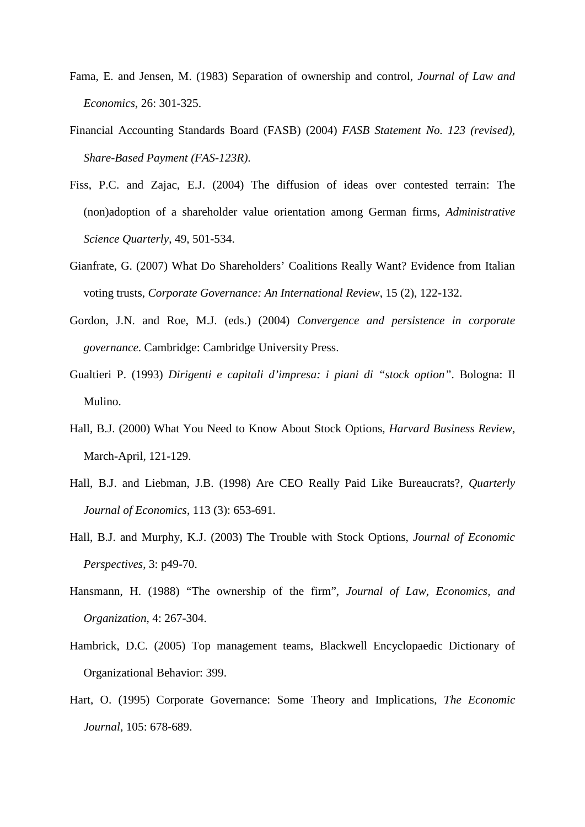- Fama, E. and Jensen, M. (1983) Separation of ownership and control, *Journal of Law and Economics*, 26: 301-325.
- Financial Accounting Standards Board (FASB) (2004) *FASB Statement No. 123 (revised), Share-Based Payment (FAS-123R)*.
- Fiss, P.C. and Zajac, E.J. (2004) The diffusion of ideas over contested terrain: The (non)adoption of a shareholder value orientation among German firms, *Administrative Science Quarterly*, 49, 501-534.
- Gianfrate, G. (2007) [What Do Shareholders' Coalitions Really Want? Evidence from Italian](http://web.ebscohost.com/ehost/viewarticle?data=dGJyMPPp44rp2%2fdV0%2bnjisfk5Ie46bBRsqq1SbGk343y3qx68t6%2bS62ot0ewpq5Qnq64Sa6wskqet8s%2b8ujfhvHX4Yzn5eyB4rOrSbGtrlC1qrVPt5zqeezdu33snOJ6u9jygKTq33%2b7t8w%2b3%2bS7SrKptEmxr7Y%2b5OXwhd%2fqu37z4uqM4%2b7y&hid=113)  [voting trusts,](http://web.ebscohost.com/ehost/viewarticle?data=dGJyMPPp44rp2%2fdV0%2bnjisfk5Ie46bBRsqq1SbGk343y3qx68t6%2bS62ot0ewpq5Qnq64Sa6wskqet8s%2b8ujfhvHX4Yzn5eyB4rOrSbGtrlC1qrVPt5zqeezdu33snOJ6u9jygKTq33%2b7t8w%2b3%2bS7SrKptEmxr7Y%2b5OXwhd%2fqu37z4uqM4%2b7y&hid=113) *Corporate Governance: An International Review*, 15 (2), 122-132.
- Gordon, J.N. and Roe, M.J. (eds.) (2004) *Convergence and persistence in corporate governance*. Cambridge: Cambridge University Press.
- Gualtieri P. (1993) *Dirigenti e capitali d'impresa: i piani di "stock option"*. Bologna: Il Mulino.
- Hall, B.J. (2000) What You Need to Know About Stock Options, *Harvard Business Review*, March-April, 121-129.
- Hall, B.J. and Liebman, J.B. (1998) Are CEO Really Paid Like Bureaucrats?, *Quarterly Journal of Economics*, 113 (3): 653-691.
- Hall, B.J. and Murphy, K.J. (2003) The Trouble with Stock Options, *Journal of Economic Perspectives*, 3: p49-70.
- Hansmann, H. (1988) "The ownership of the firm", *Journal of Law, Economics, and Organization*, 4: 267-304.
- Hambrick, D.C. (2005) Top management teams, Blackwell Encyclopaedic Dictionary of Organizational Behavior: 399.
- Hart, O. (1995) Corporate Governance: Some Theory and Implications, *The Economic Journal*, 105: 678-689.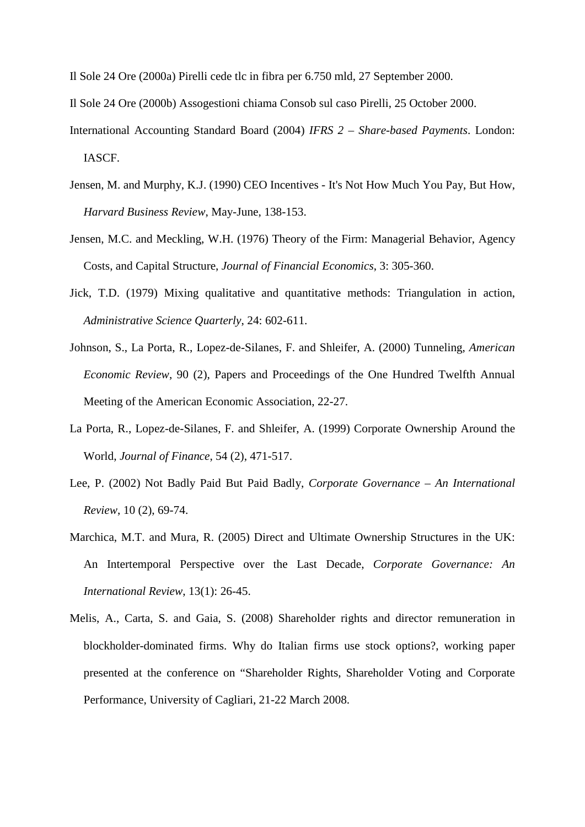Il Sole 24 Ore (2000a) Pirelli cede tlc in fibra per 6.750 mld, 27 September 2000.

Il Sole 24 Ore (2000b) Assogestioni chiama Consob sul caso Pirelli, 25 October 2000.

- International Accounting Standard Board (2004) *IFRS 2 – Share-based Payments*. London: IASCF.
- Jensen, M. and Murphy, K.J. (1990) CEO Incentives It's Not How Much You Pay, But How, *Harvard Business Review*, May-June, 138-153.
- Jensen, M.C. and Meckling, W.H. (1976) Theory of the Firm: Managerial Behavior, Agency Costs, and Capital Structure, *Journal of Financial Economics*, 3: 305-360.
- Jick, T.D. (1979) Mixing qualitative and quantitative methods: Triangulation in action, *Administrative Science Quarterly*, 24: 602-611.
- Johnson, S., La Porta, R., Lopez-de-Silanes, F. and Shleifer, A. (2000) Tunneling, *American Economic Review*, 90 (2), Papers and Proceedings of the One Hundred Twelfth Annual Meeting of the American Economic Association, 22-27.
- La Porta, R., Lopez-de-Silanes, F. and Shleifer, A. (1999) Corporate Ownership Around the World, *Journal of Finance*, 54 (2), 471-517.
- Lee, P. (2002) Not Badly Paid But Paid Badly, *Corporate Governance – An International Review*, 10 (2), 69-74.
- Marchica, M.T. and Mura, R. (2005) Direct and Ultimate Ownership Structures in the UK: An Intertemporal Perspective over the Last Decade, *Corporate Governance: An International Review*, 13(1): 26-45.
- Melis, A., Carta, S. and Gaia, S. (2008) Shareholder rights and director remuneration in blockholder-dominated firms. Why do Italian firms use stock options?, working paper presented at the conference on "Shareholder Rights, Shareholder Voting and Corporate Performance, University of Cagliari, 21-22 March 2008.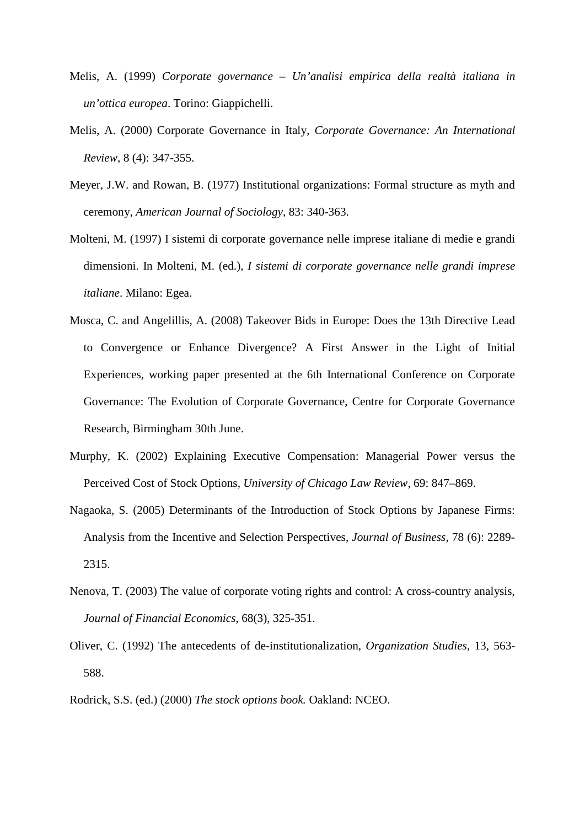- Melis, A. (1999) *Corporate governance – Un'analisi empirica della realtà italiana in un'ottica europea*. Torino: Giappichelli.
- Melis, A. (2000) Corporate Governance in Italy, *Corporate Governance: An International Review*, 8 (4): 347-355.
- Meyer, J.W. and Rowan, B. (1977) Institutional organizations: Formal structure as myth and ceremony, *American Journal of Sociology*, 83: 340-363.
- Molteni, M. (1997) I sistemi di corporate governance nelle imprese italiane di medie e grandi dimensioni. In Molteni, M. (ed.), *I sistemi di corporate governance nelle grandi imprese italiane*. Milano: Egea.
- Mosca, C. and Angelillis, A. (2008) Takeover Bids in Europe: Does the 13th Directive Lead to Convergence or Enhance Divergence? A First Answer in the Light of Initial Experiences, working paper presented at the 6th International Conference on Corporate Governance: The Evolution of Corporate Governance, Centre for Corporate Governance Research, Birmingham 30th June.
- Murphy, K. (2002) Explaining Executive Compensation: Managerial Power versus the Perceived Cost of Stock Options, *University of Chicago Law Review*, 69: 847–869.
- Nagaoka, S. (2005) Determinants of the Introduction of Stock Options by Japanese Firms: Analysis from the Incentive and Selection Perspectives, *Journal of Business*, 78 (6): 2289- 2315.
- Nenova, T. (2003) The value of corporate voting rights and control: A cross-country analysis, *Journal of Financial Economics*, 68(3), 325-351.
- Oliver, C. (1992) The antecedents of de-institutionalization, *Organization Studies*, 13, 563- 588.
- Rodrick, S.S. (ed.) (2000) *The stock options book.* Oakland: NCEO.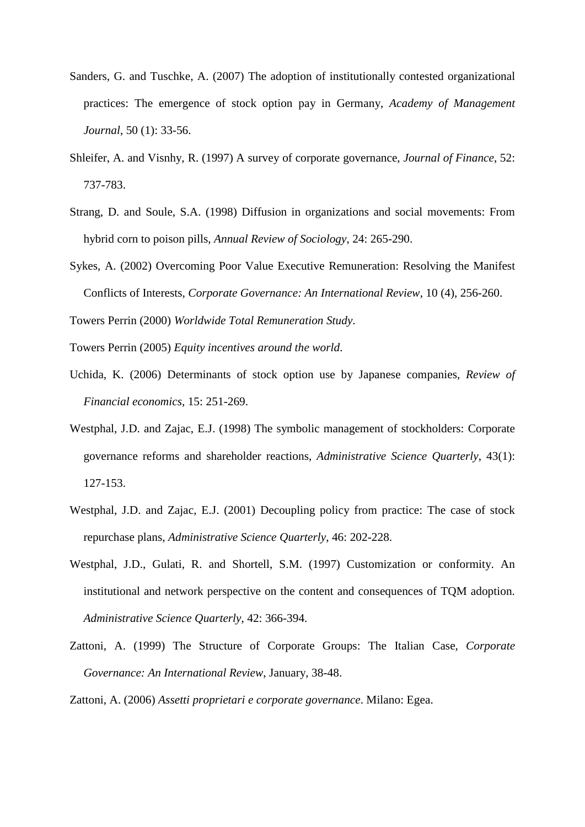- Sanders, G. and Tuschke, A. (2007) The adoption of institutionally contested organizational practices: The emergence of stock option pay in Germany, *Academy of Management Journal*, 50 (1): 33-56.
- Shleifer, A. and Visnhy, R. (1997) A survey of corporate governance, *Journal of Finance*, 52: 737-783.
- Strang, D. and Soule, S.A. (1998) Diffusion in organizations and social movements: From hybrid corn to poison pills, *Annual Review of Sociology*, 24: 265-290.
- Sykes, A. (2002) Overcoming Poor Value Executive Remuneration: Resolving the Manifest Conflicts of Interests, *Corporate Governance: An International Review*, 10 (4), 256-260.

Towers Perrin (2000) *Worldwide Total Remuneration Study*.

Towers Perrin (2005) *Equity incentives around the world*.

- Uchida, K. (2006) Determinants of stock option use by Japanese companies, *Review of Financial economics*, 15: 251-269.
- Westphal, J.D. and Zajac, E.J. (1998) The symbolic management of stockholders: Corporate governance reforms and shareholder reactions, *Administrative Science Quarterly*, 43(1): 127-153.
- Westphal, J.D. and Zajac, E.J. (2001) Decoupling policy from practice: The case of stock repurchase plans, *Administrative Science Quarterly*, 46: 202-228.
- Westphal, J.D., Gulati, R. and Shortell, S.M. (1997) Customization or conformity. An institutional and network perspective on the content and consequences of TQM adoption. *Administrative Science Quarterly*, 42: 366-394.
- Zattoni, A. (1999) The Structure of Corporate Groups: The Italian Case, *Corporate Governance: An International Review*, January, 38-48.

Zattoni, A. (2006) *Assetti proprietari e corporate governance*. Milano: Egea.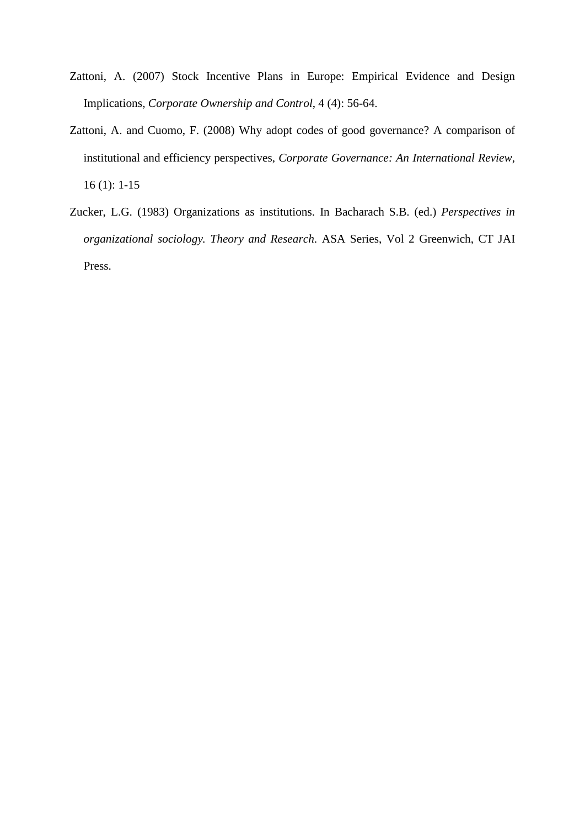- Zattoni, A. (2007) Stock Incentive Plans in Europe: Empirical Evidence and Design Implications, *Corporate Ownership and Control*, 4 (4): 56-64.
- Zattoni, A. and Cuomo, F. (2008) Why adopt codes of good governance? A comparison of institutional and efficiency perspectives, *Corporate Governance: An International Review*, 16 (1): 1-15
- Zucker, L.G. (1983) Organizations as institutions. In Bacharach S.B. (ed.) *Perspectives in organizational sociology. Theory and Research*. ASA Series, Vol 2 Greenwich, CT JAI Press.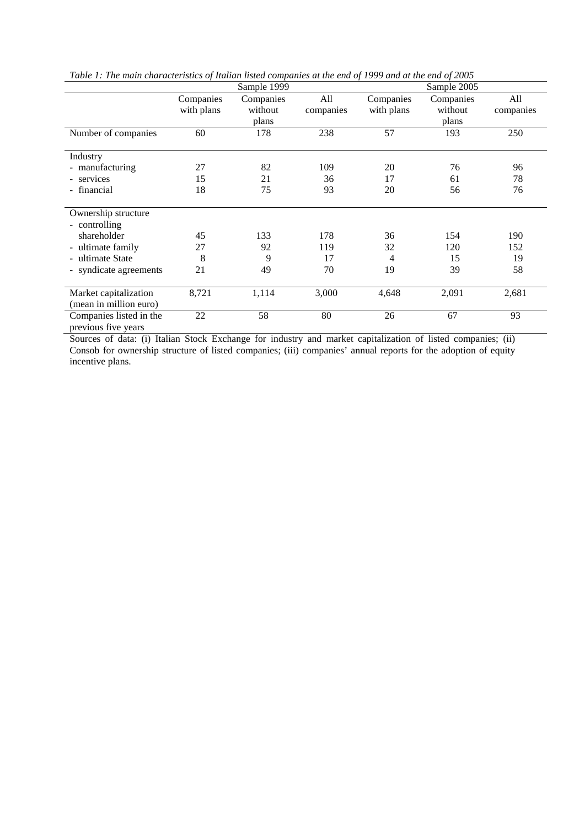|                                                | Tubic 1, The main characteristics of Italian histed companies at the cha of 1999 and at the cha of 2009<br>Sample 1999<br>Sample 2005 |           |           |            |           |           |
|------------------------------------------------|---------------------------------------------------------------------------------------------------------------------------------------|-----------|-----------|------------|-----------|-----------|
|                                                | Companies                                                                                                                             | Companies | All       | Companies  | Companies | All       |
|                                                | with plans                                                                                                                            | without   | companies | with plans | without   | companies |
|                                                |                                                                                                                                       | plans     |           |            | plans     |           |
| Number of companies                            | 60                                                                                                                                    | 178       | 238       | 57         | 193       | 250       |
| Industry                                       |                                                                                                                                       |           |           |            |           |           |
| - manufacturing                                | 27                                                                                                                                    | 82        | 109       | 20         | 76        | 96        |
| - services                                     | 15                                                                                                                                    | 21        | 36        | 17         | 61        | 78        |
| - financial                                    | 18                                                                                                                                    | 75        | 93        | 20         | 56        | 76        |
|                                                |                                                                                                                                       |           |           |            |           |           |
| Ownership structure                            |                                                                                                                                       |           |           |            |           |           |
| - controlling                                  |                                                                                                                                       |           |           |            |           |           |
| shareholder                                    | 45                                                                                                                                    | 133       | 178       | 36         | 154       | 190       |
| - ultimate family                              | 27                                                                                                                                    | 92        | 119       | 32         | 120       | 152       |
| - ultimate State                               | 8                                                                                                                                     | 9         | 17        | 4          | 15        | 19        |
| - syndicate agreements                         | 21                                                                                                                                    | 49        | 70        | 19         | 39        | 58        |
|                                                |                                                                                                                                       |           |           |            |           |           |
| Market capitalization                          | 8,721                                                                                                                                 | 1,114     | 3,000     | 4,648      | 2,091     | 2,681     |
| (mean in million euro)                         |                                                                                                                                       |           |           |            |           |           |
| Companies listed in the<br>previous five years | 22                                                                                                                                    | 58        | 80        | 26         | 67        | 93        |

*Table 1: The main characteristics of Italian listed companies at the end of 1999 and at the end of 2005*

Sources of data: (i) Italian Stock Exchange for industry and market capitalization of listed companies; (ii) Consob for ownership structure of listed companies; (iii) companies' annual reports for the adoption of equity incentive plans.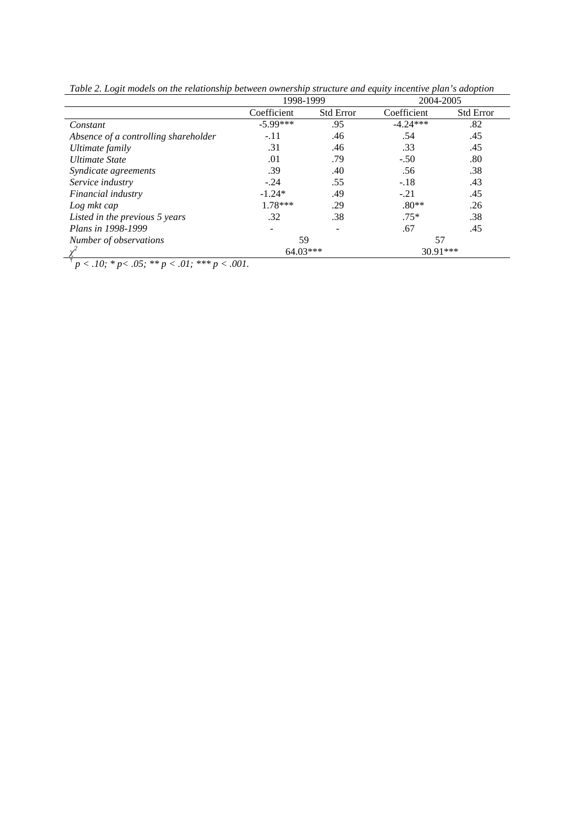|                                      | 1998-1999   |                  | 2004-2005   |                  |  |
|--------------------------------------|-------------|------------------|-------------|------------------|--|
|                                      | Coefficient | <b>Std Error</b> | Coefficient | <b>Std Error</b> |  |
| Constant                             | $-5.99***$  | .95              | $-4.24***$  | .82              |  |
| Absence of a controlling shareholder | $-.11$      | .46              | .54         | .45              |  |
| Ultimate family                      | .31         | .46              | .33         | .45              |  |
| <b>Ultimate State</b>                | .01         | .79              | $-.50$      | .80              |  |
| Syndicate agreements                 | .39         | .40              | .56         | .38              |  |
| Service industry                     | $-.24$      | .55              | $-.18$      | .43              |  |
| Financial industry                   | $-1.24*$    | .49              | $-.21$      | .45              |  |
| Log mkt cap                          | $1.78***$   | .29              | $.80**$     | .26              |  |
| Listed in the previous 5 years       | .32         | .38              | $.75*$      | .38              |  |
| Plans in 1998-1999                   |             |                  | .67         | .45              |  |
| Number of observations               | 59          |                  | 57          |                  |  |
|                                      | $64.03***$  |                  | 30.91***    |                  |  |

*Table 2. Logit models on the relationship between ownership structure and equity incentive plan's adoption*

 $\frac{1}{p}$  *p < .10;* \* *p < .05;* \*\* *p < .01;* \*\*\* *p < .001.*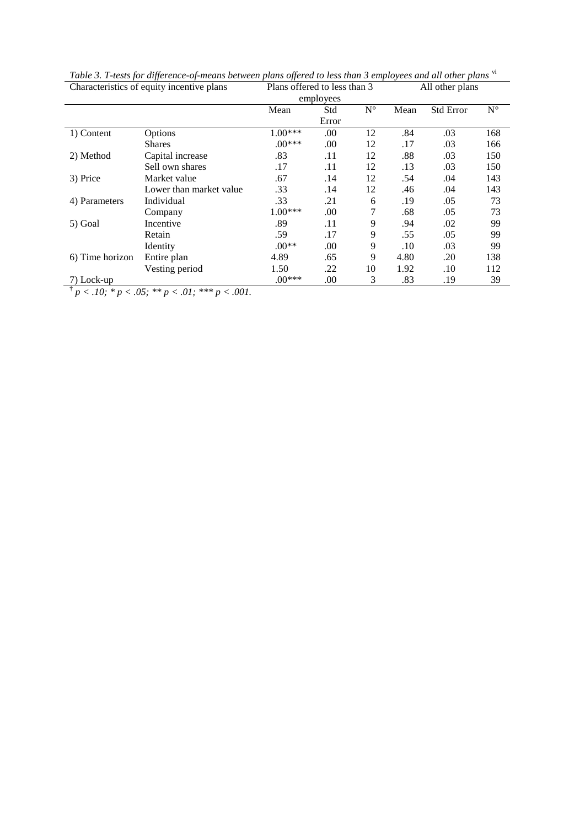| Characteristics of equity incentive plans |                         | Plans offered to less than 3 |           |             | All other plans |                  |             |
|-------------------------------------------|-------------------------|------------------------------|-----------|-------------|-----------------|------------------|-------------|
|                                           |                         |                              | employees |             |                 |                  |             |
|                                           |                         | Mean                         | Std       | $N^{\circ}$ | Mean            | <b>Std Error</b> | $N^{\circ}$ |
|                                           |                         |                              | Error     |             |                 |                  |             |
| 1) Content                                | Options                 | $1.00***$                    | .00       | 12          | .84             | .03              | 168         |
|                                           | <b>Shares</b>           | $.00***$                     | .00       | 12          | .17             | .03              | 166         |
| 2) Method                                 | Capital increase        | .83                          | .11       | 12          | .88             | .03              | 150         |
|                                           | Sell own shares         | .17                          | .11       | 12          | .13             | .03              | 150         |
| 3) Price                                  | Market value            | .67                          | .14       | 12          | .54             | .04              | 143         |
|                                           | Lower than market value | .33                          | .14       | 12          | .46             | .04              | 143         |
| 4) Parameters                             | Individual              | .33                          | .21       | 6           | .19             | .05              | 73          |
|                                           | Company                 | $1.00***$                    | .00       | 7           | .68             | .05              | 73          |
| 5) Goal                                   | Incentive               | .89                          | .11       | 9           | .94             | .02              | 99          |
|                                           | Retain                  | .59                          | .17       | 9           | .55             | .05              | 99          |
|                                           | Identity                | $.00**$                      | .00       | 9           | .10             | .03              | 99          |
| 6) Time horizon                           | Entire plan             | 4.89                         | .65       | 9           | 4.80            | .20              | 138         |
|                                           | Vesting period          | 1.50                         | .22       | 10          | 1.92            | .10              | 112         |
| 7) Lock-up                                |                         | $.00***$                     | .00       | 3           | .83             | .19              | 39          |

*Table 3. T-tests for difference-of-means between plans offered to less than 3 employees and all other plans* [vi](#page-45-5)

 $\frac{1}{p}$   $p$  < .10; \* p < .05; \*\* p < .01; \*\*\* p < .001.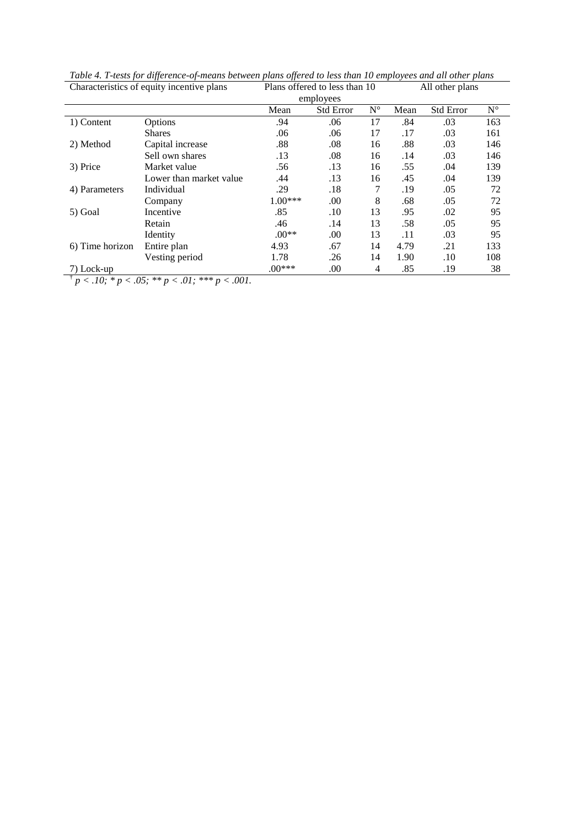| Characteristics of equity incentive plans |                         | Plans offered to less than 10 |                  |             | All other plans |                  |             |
|-------------------------------------------|-------------------------|-------------------------------|------------------|-------------|-----------------|------------------|-------------|
|                                           |                         | employees                     |                  |             |                 |                  |             |
|                                           |                         | Mean                          | <b>Std Error</b> | $N^{\circ}$ | Mean            | <b>Std Error</b> | $N^{\circ}$ |
| 1) Content                                | Options                 | .94                           | .06              | 17          | .84             | .03              | 163         |
|                                           | <b>Shares</b>           | .06                           | .06              | 17          | .17             | .03              | 161         |
| 2) Method                                 | Capital increase        | .88                           | .08              | 16          | .88             | .03              | 146         |
|                                           | Sell own shares         | .13                           | .08              | 16          | .14             | .03              | 146         |
| 3) Price                                  | Market value            | .56                           | .13              | 16          | .55             | .04              | 139         |
|                                           | Lower than market value | .44                           | .13              | 16          | .45             | .04              | 139         |
| 4) Parameters                             | Individual              | .29                           | .18              | 7           | .19             | .05              | 72          |
|                                           | Company                 | $1.00***$                     | .00.             | 8           | .68             | .05              | 72          |
| 5) Goal                                   | Incentive               | .85                           | $.10\,$          | 13          | .95             | .02              | 95          |
|                                           | Retain                  | .46                           | .14              | 13          | .58             | .05              | 95          |
|                                           | Identity                | $.00**$                       | .00              | 13          | .11             | .03              | 95          |
| 6) Time horizon                           | Entire plan             | 4.93                          | .67              | 14          | 4.79            | .21              | 133         |
|                                           | Vesting period          | 1.78                          | .26              | 14          | 1.90            | .10              | 108         |
| 7) Lock-up                                |                         | $.00***$                      | .00              | 4           | .85             | .19              | 38          |

*Table 4. T-tests for difference-of-means between plans offered to less than 10 employees and all other plans* 

 $\frac{1}{p}$  < .10; \* p < .05; \*\* p < .01; \*\*\* p < .001.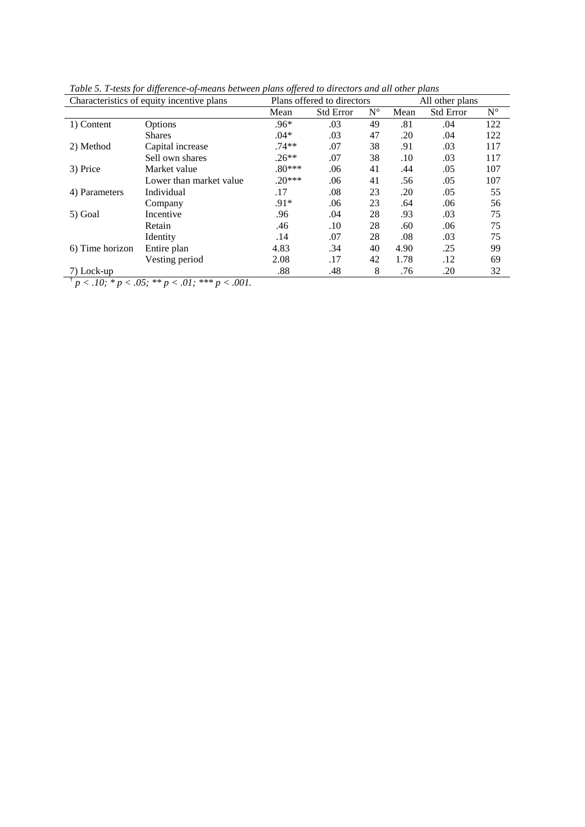| Characteristics of equity incentive plans |                         | Plans offered to directors |                  |             | All other plans |                  |             |
|-------------------------------------------|-------------------------|----------------------------|------------------|-------------|-----------------|------------------|-------------|
|                                           |                         | Mean                       | <b>Std Error</b> | $N^{\circ}$ | Mean            | <b>Std Error</b> | $N^{\circ}$ |
| 1) Content                                | Options                 | $.96*$                     | .03              | 49          | .81             | .04              | 122         |
|                                           | <b>Shares</b>           | $.04*$                     | .03              | 47          | .20             | .04              | 122         |
| 2) Method                                 | Capital increase        | $.74**$                    | .07              | 38          | .91             | .03              | 117         |
|                                           | Sell own shares         | $.26**$                    | .07              | 38          | .10             | .03              | 117         |
| 3) Price                                  | Market value            | $.80***$                   | .06              | 41          | .44             | .05              | 107         |
|                                           | Lower than market value | $.20***$                   | .06              | 41          | .56             | .05              | 107         |
| 4) Parameters                             | Individual              | .17                        | .08              | 23          | .20             | .05              | 55          |
|                                           | Company                 | $.91*$                     | .06              | 23          | .64             | .06              | 56          |
| 5) Goal                                   | Incentive               | .96                        | .04              | 28          | .93             | .03              | 75          |
|                                           | Retain                  | .46                        | .10              | 28          | .60             | .06              | 75          |
|                                           | Identity                | .14                        | .07              | 28          | .08             | .03              | 75          |
| 6) Time horizon                           | Entire plan             | 4.83                       | .34              | 40          | 4.90            | .25              | 99          |
|                                           | Vesting period          | 2.08                       | .17              | 42          | 1.78            | .12              | 69          |
| 7) Lock-up                                |                         | .88                        | .48              | 8           | .76             | .20              | 32          |
|                                           | $ -$<br>- - -           |                            |                  |             |                 |                  |             |

*Table 5. T-tests for difference-of-means between plans offered to directors and all other plans* 

 $p < .10; *p < .05; **p < .01; ***p < .001.$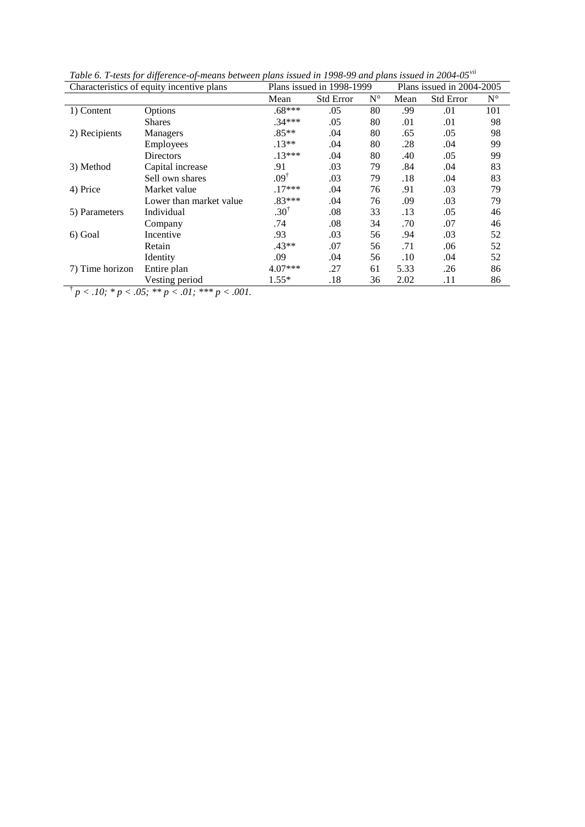| Characteristics of equity incentive plans |                                                                 | Plans issued in 1998-1999 |                  | Plans issued in 2004-2005 |      |                  |             |
|-------------------------------------------|-----------------------------------------------------------------|---------------------------|------------------|---------------------------|------|------------------|-------------|
|                                           |                                                                 | Mean                      | <b>Std Error</b> | $N^{\circ}$               | Mean | <b>Std Error</b> | $N^{\circ}$ |
| 1) Content                                | Options                                                         | $.68***$                  | .05              | 80                        | .99  | .01              | 101         |
|                                           | <b>Shares</b>                                                   | $.34***$                  | .05              | 80                        | .01  | .01              | 98          |
| 2) Recipients                             | Managers                                                        | $.85**$                   | .04              | 80                        | .65  | .05              | 98          |
|                                           | Employees                                                       | $.13**$                   | .04              | 80                        | .28  | .04              | 99          |
|                                           | <b>Directors</b>                                                | $.13***$                  | .04              | 80                        | .40  | .05              | 99          |
| 3) Method                                 | Capital increase                                                | .91                       | .03              | 79                        | .84  | .04              | 83          |
|                                           | Sell own shares                                                 | $.09^{\dagger}$           | .03              | 79                        | .18  | .04              | 83          |
| 4) Price                                  | Market value                                                    | $.17***$                  | .04              | 76                        | .91  | .03              | 79          |
|                                           | Lower than market value                                         | $.83***$                  | .04              | 76                        | .09  | .03              | 79          |
| 5) Parameters                             | Individual                                                      | $.30^{\dagger}$           | .08              | 33                        | .13  | .05              | 46          |
|                                           | Company                                                         | .74                       | .08              | 34                        | .70  | .07              | 46          |
| 6) Goal                                   | Incentive                                                       | .93                       | .03              | 56                        | .94  | .03              | 52          |
|                                           | Retain                                                          | $.43**$                   | .07              | 56                        | .71  | .06              | 52          |
|                                           | Identity                                                        | .09                       | .04              | 56                        | .10  | .04              | 52          |
| 7) Time horizon                           | Entire plan                                                     | $4.07***$                 | .27              | 61                        | 5.33 | .26              | 86          |
| ÷<br>$\sim$ $\sim$ $\sim$                 | Vesting period<br>$\sim$ $ \sim$ $\sim$<br>$\sim$ $\sim$ $\sim$ | $1.55*$                   | .18              | 36                        | 2.02 | .11              | 86          |

*Table 6. T-tests for difference-of-means between plans issued in 1998-99 and plans issued in 2004-05[vii](#page-45-6)*

 $\frac{p}{p}$  < .10; \* p < .05; \*\* p < .01; \*\*\* p < .001.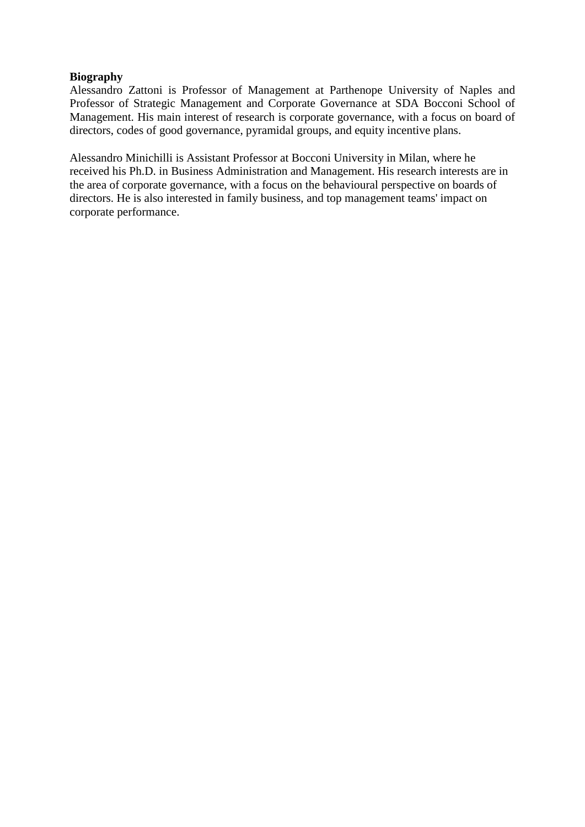## **Biography**

Alessandro Zattoni is Professor of Management at Parthenope University of Naples and Professor of Strategic Management and Corporate Governance at SDA Bocconi School of Management. His main interest of research is corporate governance, with a focus on board of directors, codes of good governance, pyramidal groups, and equity incentive plans.

Alessandro Minichilli is Assistant Professor at Bocconi University in Milan, where he received his Ph.D. in Business Administration and Management. His research interests are in the area of corporate governance, with a focus on the behavioural perspective on boards of directors. He is also interested in family business, and top management teams' impact on corporate performance.